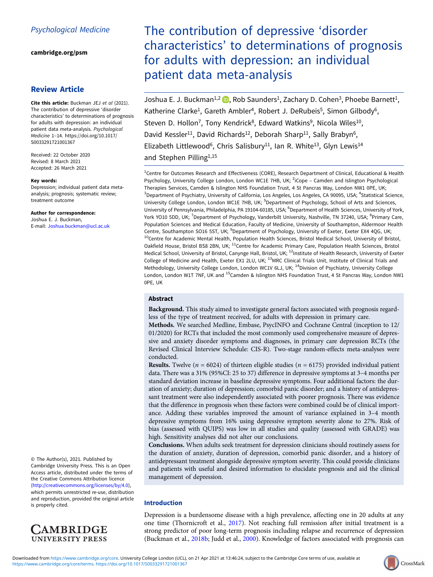[cambridge.org/psm](https://www.cambridge.org/psm)

# Review Article

Cite this article: Buckman JEJ et al (2021). The contribution of depressive 'disorder characteristics' to determinations of prognosis for adults with depression: an individual patient data meta-analysis. Psychological Medicine 1–14. [https://doi.org/10.1017/](https://doi.org/10.1017/S0033291721001367) [S0033291721001367](https://doi.org/10.1017/S0033291721001367)

Received: 22 October 2020 Revised: 8 March 2021 Accepted: 26 March 2021

#### Key words:

Depression; individual patient data metaanalysis; prognosis; systematic review; treatment outcome

Author for correspondence: Joshua E. J. Buckman, E-mail: [Joshua.buckman@ucl.ac.uk](mailto:Joshua.buckman@ucl.ac.uk)

© The Author(s), 2021. Published by Cambridge University Press. This is an Open Access article, distributed under the terms of the Creative Commons Attribution licence (<http://creativecommons.org/licenses/by/4.0>), which permits unrestricted re-use, distribution and reproduction, provided the original article is properly cited.



# The contribution of depressive 'disorder characteristics' to determinations of prognosis for adults with depression: an individual patient data meta-analysis

Joshua E. J. Buckman<sup>1,2</sup>  $\bullet$ , Rob Saunders<sup>1</sup>, Zachary D. Cohen<sup>3</sup>, Phoebe Barnett<sup>1</sup>, Katherine Clarke<sup>1</sup>, Gareth Ambler<sup>4</sup>, Robert J. DeRubeis<sup>5</sup>, Simon Gilbody<sup>6</sup>, Steven D. Hollon<sup>7</sup>, Tony Kendrick<sup>8</sup>, Edward Watkins<sup>9</sup>, Nicola Wiles<sup>10</sup>, David Kessler<sup>11</sup>, David Richards<sup>12</sup>, Deborah Sharp<sup>11</sup>, Sally Brabyn<sup>6</sup>, Elizabeth Littlewood<sup>6</sup>, Chris Salisbury<sup>11</sup>, Ian R. White<sup>13</sup>, Glyn Lewis<sup>14</sup> and Stephen Pilling<sup>1,15</sup>

<sup>1</sup>Centre for Outcomes Research and Effectiveness (CORE), Research Department of Clinical, Educational & Health Psychology, University College London, London WC1E 7HB, UK; <sup>2</sup>iCope - Camden and Islington Psychological Therapies Services, Camden & Islington NHS Foundation Trust, 4 St Pancras Way, London NW1 0PE, UK; <sup>3</sup>Department of Psychiatry, University of California, Los Angeles, Los Angeles, CA 90095, USA; <sup>4</sup>Statistical Science, University College London, London WC1E 7HB, UK; <sup>5</sup>Department of Psychology, School of Arts and Sciences, University of Pennsylvania, Philadelphia, PA 19104-60185, USA; <sup>6</sup>Department of Health Sciences, University of York, York YO10 5DD, UK; <sup>7</sup>Department of Psychology, Vanderbilt University, Nashville, TN 37240, USA; <sup>8</sup>Primary Care, Population Sciences and Medical Education, Faculty of Medicine, University of Southampton, Aldermoor Health Centre, Southampton SO16 5ST, UK; <sup>9</sup>Department of Psychology, University of Exeter, Exeter EX4 4QG, UK; <sup>10</sup>Centre for Academic Mental Health, Population Health Sciences, Bristol Medical School, University of Bristol, Oakfield House, Bristol BS8 2BN, UK; <sup>11</sup>Centre for Academic Primary Care, Population Health Sciences, Bristol Medical School, University of Bristol, Canynge Hall, Bristol, UK; <sup>12</sup>Institute of Health Research, University of Exeter College of Medicine and Health, Exeter EX1 2LU, UK; <sup>13</sup>MRC Clinical Trials Unit, Institute of Clinical Trials and Methodology, University College London, London WC1V 6LJ, UK; <sup>14</sup>Division of Psychiatry, University College London, London W1T 7NF, UK and <sup>15</sup>Camden & Islington NHS Foundation Trust, 4 St Pancras Way, London NW1 0PE, UK

# Abstract

Background. This study aimed to investigate general factors associated with prognosis regardless of the type of treatment received, for adults with depression in primary care.

Methods. We searched Medline, Embase, PsycINFO and Cochrane Central (inception to 12/ 01/2020) for RCTs that included the most commonly used comprehensive measure of depressive and anxiety disorder symptoms and diagnoses, in primary care depression RCTs (the Revised Clinical Interview Schedule: CIS-R). Two-stage random-effects meta-analyses were conducted.

**Results.** Twelve ( $n = 6024$ ) of thirteen eligible studies ( $n = 6175$ ) provided individual patient data. There was a 31% (95%CI: 25 to 37) difference in depressive symptoms at 3–4 months per standard deviation increase in baseline depressive symptoms. Four additional factors: the duration of anxiety; duration of depression; comorbid panic disorder; and a history of antidepressant treatment were also independently associated with poorer prognosis. There was evidence that the difference in prognosis when these factors were combined could be of clinical importance. Adding these variables improved the amount of variance explained in 3–4 month depressive symptoms from 16% using depressive symptom severity alone to 27%. Risk of bias (assessed with QUIPS) was low in all studies and quality (assessed with GRADE) was high. Sensitivity analyses did not alter our conclusions.

Conclusions. When adults seek treatment for depression clinicians should routinely assess for the duration of anxiety, duration of depression, comorbid panic disorder, and a history of antidepressant treatment alongside depressive symptom severity. This could provide clinicians and patients with useful and desired information to elucidate prognosis and aid the clinical management of depression.

## Introduction

Depression is a burdensome disease with a high prevalence, affecting one in 20 adults at any one time (Thornicroft et al., [2017\)](#page-13-0). Not reaching full remission after initial treatment is a strong predictor of poor long-term prognosis including relapse and recurrence of depression (Buckman et al., [2018b](#page-12-0); Judd et al., [2000](#page-12-0)). Knowledge of factors associated with prognosis can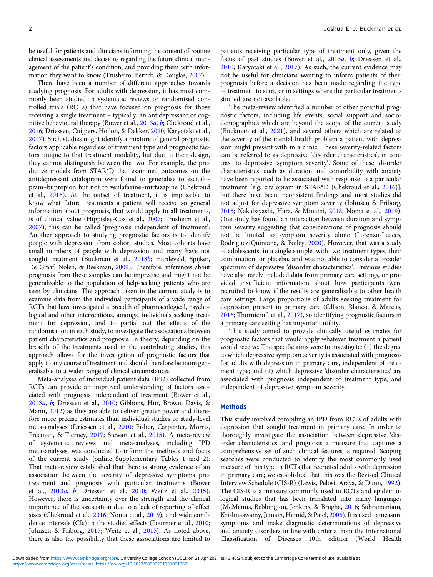be useful for patients and clinicians informing the content of routine clinical assessments and decisions regarding the future clinical management of the patient's condition, and providing them with information they want to know (Trusheim, Berndt, & Douglas, [2007\)](#page-13-0).

There have been a number of different approaches towards studying prognosis. For adults with depression, it has most commonly been studied in systematic reviews or randomised controlled trials (RCTs) that have focused on prognosis for those receiving a single treatment – typically, an antidepressant or cognitive behavioural therapy (Bower et al., [2013](#page-12-0)a, [b](#page-12-0); Chekroud et al., [2016;](#page-12-0) Driessen, Cuijpers, Hollon, & Dekker, [2010;](#page-12-0) Karyotaki et al., [2017\)](#page-12-0). Such studies might identify a mixture of general prognostic factors applicable regardless of treatment type and prognostic factors unique to that treatment modality, but due to their design, they cannot distinguish between the two. For example, the predictive models from STAR\*D that examined outcomes on the antidepressant citalopram were found to generalise to escitalopram–bupropion but not to venlafaxine–mirtazapine (Chekroud et al., [2016](#page-12-0)). At the outset of treatment, it is impossible to know what future treatments a patient will receive so general information about prognosis, that would apply to all treatments, is of clinical value (Hippisley-Cox et al., [2007](#page-12-0); Trusheim et al., [2007\)](#page-13-0); this can be called 'prognosis independent of treatment'. Another approach to studying prognostic factors is to identify people with depression from cohort studies. Most cohorts have small numbers of people with depression and many have not sought treatment (Buckman et al., [2018](#page-12-0)b; Hardeveld, Spijker, De Graaf, Nolen, & Beekman, [2009\)](#page-12-0). Therefore, inferences about prognosis from these samples can be imprecise and might not be generalisable to the population of help-seeking patients who are seen by clinicians. The approach taken in the current study is to examine data from the individual participants of a wide range of RCTs that have investigated a breadth of pharmacological, psychological and other interventions, amongst individuals seeking treatment for depression, and to partial out the effects of the randomisation in each study, to investigate the associations between patient characteristics and prognosis. In theory, depending on the breadth of the treatments used in the contributing studies, this approach allows for the investigation of prognostic factors that apply to any course of treatment and should therefore be more generalisable to a wider range of clinical circumstances.

Meta-analyses of individual patient data (IPD) collected from RCTs can provide an improved understanding of factors associated with prognosis independent of treatment (Bower et al., [2013](#page-12-0)a, [b](#page-12-0); Driessen et al., [2010](#page-12-0); Gibbons, Hur, Brown, Davis, & Mann, [2012](#page-12-0)) as they are able to deliver greater power and therefore more precise estimates than individual studies or study-level meta-analyses (Driessen et al., [2010;](#page-12-0) Fisher, Carpenter, Morris, Freeman, & Tierney, [2017](#page-12-0); Stewart et al., [2015](#page-13-0)). A meta-review of systematic reviews and meta-analyses, including IPD meta-analyses, was conducted to inform the methods and focus of the current study (online Supplementary Tables 1 and 2). That meta-review established that there is strong evidence of an association between the severity of depressive symptoms pretreatment and prognosis with particular treatments (Bower et al., [2013](#page-12-0)a, [b](#page-12-0); Driessen et al., [2010;](#page-12-0) Weitz et al., [2015\)](#page-13-0). However, there is uncertainty over the strength and the clinical importance of the association due to a lack of reporting of effect sizes (Chekroud et al., [2016](#page-12-0); Noma et al., [2019\)](#page-13-0), and wide confidence intervals (CIs) in the studied effects (Fournier et al., [2010](#page-12-0); Johnsen & Friborg, [2015](#page-12-0); Weitz et al., [2015\)](#page-13-0). As noted above, there is also the possibility that these associations are limited to

patients receiving particular type of treatment only, given the focus of past studies (Bower et al., [2013](#page-12-0)a, [b](#page-12-0); Driessen et al., [2010;](#page-12-0) Karyotaki et al., [2017\)](#page-12-0). As such, the current evidence may not be useful for clinicians wanting to inform patients of their prognosis before a decision has been made regarding the type of treatment to start, or in settings where the particular treatments studied are not available.

The meta-review identified a number of other potential prognostic factors, including life events, social support and sociodemographics which are beyond the scope of the current study (Buckman et al., [2021\)](#page-12-0), and several others which are related to the severity of the mental health problem a patient with depression might present with in a clinic. These severity-related factors can be referred to as depressive 'disorder characteristics', in contrast to depressive 'symptom severity'. Some of these 'disorder characteristics' such as duration and comorbidity with anxiety have been reported to be associated with response to a particular treatment [e.g. citalopram in STAR\*D (Chekroud et al., [2016](#page-12-0))], but there have been inconsistent findings and most studies did not adjust for depressive symptom severity (Johnsen & Friborg, [2015;](#page-12-0) Nakabayashi, Hara, & Minami, [2018;](#page-13-0) Noma et al., [2019](#page-13-0)). One study has found an interaction between duration and symptom severity suggesting that considerations of prognosis should not be limited to symptom severity alone (Lorenzo-Luaces, Rodriguez-Quintana, & Bailey, [2020](#page-13-0)). However, that was a study of adolescents, in a single sample, with two treatment types, their combination, or placebo, and was not able to consider a broader spectrum of depressive 'disorder characteristics'. Previous studies have also rarely included data from primary care settings, or provided insufficient information about how participants were recruited to know if the results are generalisable to other health care settings. Large proportions of adults seeking treatment for depression present in primary care (Olfson, Blanco, & Marcus, [2016;](#page-13-0) Thornicroft et al., [2017](#page-13-0)), so identifying prognostic factors in a primary care setting has important utility.

This study aimed to provide clinically useful estimates for prognostic factors that would apply whatever treatment a patient would receive. The specific aims were to investigate: (1) the degree to which depressive symptom severity is associated with prognosis for adults with depression in primary care, independent of treatment type; and (2) which depressive 'disorder characteristics' are associated with prognosis independent of treatment type, and independent of depressive symptom severity.

#### **Methods**

This study involved compiling an IPD from RCTs of adults with depression that sought treatment in primary care. In order to thoroughly investigate the association between depressive 'disorder characteristics' and prognosis a measure that captures a comprehensive set of such clinical features is required. Scoping searches were conducted to identify the most commonly used measure of this type in RCTs that recruited adults with depression in primary care; we established that this was the Revised Clinical Interview Schedule (CIS-R) (Lewis, Pelosi, Araya, & Dunn, [1992](#page-13-0)). The CIS-R is a measure commonly used in RCTs and epidemiological studies that has been translated into many languages (McManus, Bebbington, Jenkins, & Brugha, [2016;](#page-13-0) Subramaniam, Krishnaswamy, Jemain, Hamid, & Patel, [2006](#page-13-0)). It is used to measure symptoms and make diagnostic determinations of depressive and anxiety disorders in line with criteria from the International Classification of Diseases 10th edition (World Health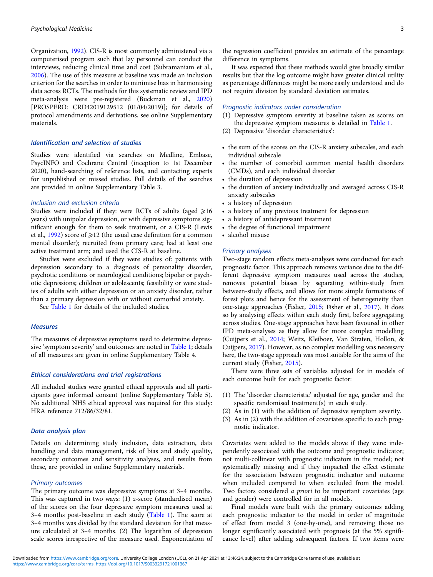Organization, [1992](#page-13-0)). CIS-R is most commonly administered via a computerised program such that lay personnel can conduct the interviews, reducing clinical time and cost (Subramaniam et al., [2006\)](#page-13-0). The use of this measure at baseline was made an inclusion criterion for the searches in order to minimise bias in harmonising data across RCTs. The methods for this systematic review and IPD meta-analysis were pre-registered (Buckman et al., [2020\)](#page-12-0) [PROSPERO: CRD42019129512 (01/04/2019)]; for details of protocol amendments and derivations, see online Supplementary materials.

## Identification and selection of studies

Studies were identified via searches on Medline, Embase, PsycINFO and Cochrane Central (inception to 1st December 2020), hand-searching of reference lists, and contacting experts for unpublished or missed studies. Full details of the searches are provided in online Supplementary Table 3.

# Inclusion and exclusion criteria

Studies were included if they: were RCTs of adults (aged  $\geq 16$ years) with unipolar depression, or with depressive symptoms significant enough for them to seek treatment, or a CIS-R (Lewis et al., [1992\)](#page-13-0) score of  $\geq 12$  (the usual case definition for a common mental disorder); recruited from primary care; had at least one active treatment arm; and used the CIS-R at baseline.

Studies were excluded if they were studies of: patients with depression secondary to a diagnosis of personality disorder, psychotic conditions or neurological conditions; bipolar or psychotic depressions; children or adolescents; feasibility or were studies of adults with either depression or an anxiety disorder, rather than a primary depression with or without comorbid anxiety.

See [Table 1](#page-3-0) for details of the included studies.

## **Measures**

The measures of depressive symptoms used to determine depressive 'symptom severity' and outcomes are noted in [Table 1](#page-3-0); details of all measures are given in online Supplementary Table 4.

#### Ethical considerations and trial registrations

All included studies were granted ethical approvals and all participants gave informed consent (online Supplementary Table 5). No additional NHS ethical approval was required for this study: HRA reference 712/86/32/81.

## Data analysis plan

Details on determining study inclusion, data extraction, data handling and data management, risk of bias and study quality, secondary outcomes and sensitivity analyses, and results from these, are provided in online Supplementary materials.

## Primary outcomes

The primary outcome was depressive symptoms at 3–4 months. This was captured in two ways:  $(1)$  z-score (standardised mean) of the scores on the four depressive symptom measures used at 3–4 months post-baseline in each study [\(Table 1](#page-3-0)). The score at 3–4 months was divided by the standard deviation for that measure calculated at 3–4 months. (2) The logarithm of depression scale scores irrespective of the measure used. Exponentiation of

the regression coefficient provides an estimate of the percentage difference in symptoms.

It was expected that these methods would give broadly similar results but that the log outcome might have greater clinical utility as percentage differences might be more easily understood and do not require division by standard deviation estimates.

### Prognostic indicators under consideration

- (1) Depressive symptom severity at baseline taken as scores on the depressive symptom measures is detailed in [Table 1](#page-3-0).
- (2) Depressive 'disorder characteristics':
- the sum of the scores on the CIS-R anxiety subscales, and each individual subscale
- the number of comorbid common mental health disorders (CMDs), and each individual disorder
- the duration of depression
- the duration of anxiety individually and averaged across CIS-R anxiety subscales
- a history of depression
- a history of any previous treatment for depression
- a history of antidepressant treatment
- the degree of functional impairment
- alcohol misuse

#### Primary analyses

Two-stage random effects meta-analyses were conducted for each prognostic factor. This approach removes variance due to the different depressive symptom measures used across the studies, removes potential biases by separating within-study from between-study effects, and allows for more simple formations of forest plots and hence for the assessment of heterogeneity than one-stage approaches (Fisher, [2015;](#page-12-0) Fisher et al., [2017](#page-12-0)). It does so by analysing effects within each study first, before aggregating across studies. One-stage approaches have been favoured in other IPD meta-analyses as they allow for more complex modelling (Cuijpers et al., [2014;](#page-12-0) Weitz, Kleiboer, Van Straten, Hollon, & Cuijpers, [2017\)](#page-13-0). However, as no complex modelling was necessary here, the two-stage approach was most suitable for the aims of the current study (Fisher, [2015\)](#page-12-0).

There were three sets of variables adjusted for in models of each outcome built for each prognostic factor:

- (1) The 'disorder characteristic' adjusted for age, gender and the specific randomised treatment(s) in each study.
- (2) As in (1) with the addition of depressive symptom severity.
- (3) As in (2) with the addition of covariates specific to each prognostic indicator.

Covariates were added to the models above if they were: independently associated with the outcome and prognostic indicator; not multi-collinear with prognostic indicators in the model; not systematically missing and if they impacted the effect estimate for the association between prognostic indicator and outcome when included compared to when excluded from the model. Two factors considered a priori to be important covariates (age and gender) were controlled for in all models.

Final models were built with the primary outcomes adding each prognostic indicator to the model in order of magnitude of effect from model 3 (one-by-one), and removing those no longer significantly associated with prognosis (at the 5% significance level) after adding subsequent factors. If two items were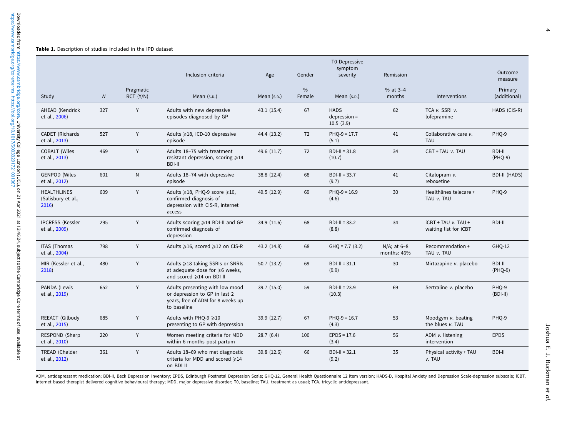#### <span id="page-3-0"></span>Table 1. Description of studies included in the IPD dataset

|                                                   |                |                        | Inclusion criteria                                                                                                   | Age           | Gender                  | T0 Depressive<br>symptom<br>severity       | Remission                     |                                                | Outcome<br>measure      |
|---------------------------------------------------|----------------|------------------------|----------------------------------------------------------------------------------------------------------------------|---------------|-------------------------|--------------------------------------------|-------------------------------|------------------------------------------------|-------------------------|
| Study                                             | $\overline{N}$ | Pragmatic<br>RCT (Y/N) | Mean $(s.p.)$                                                                                                        | Mean $(s.p.)$ | $\frac{0}{0}$<br>Female | Mean $(s.p.)$                              | % at 3-4<br>months            | <b>Interventions</b>                           | Primary<br>(additional) |
| AHEAD (Kendrick<br>et al., 2006)                  | 327            | Y                      | Adults with new depressive<br>episodes diagnosed by GP                                                               | 43.1(15.4)    | 67                      | <b>HADS</b><br>$depression =$<br>10.5(3.9) | 62                            | TCA v. SSRI v.<br>lofepramine                  | HADS (CIS-R)            |
| CADET (Richards<br>et al., 2013)                  | 527            | Y                      | Adults ≥18, ICD-10 depressive<br>episode                                                                             | 44.4 (13.2)   | 72                      | $PHO-9 = 17.7$<br>(5.1)                    | 41                            | Collaborative care v.<br><b>TAU</b>            | PHQ-9                   |
| <b>COBALT (Wiles</b><br>et al., 2013)             | 469            | Y                      | Adults 18-75 with treatment<br>resistant depression, scoring $\geq 14$<br><b>BDI-II</b>                              | 49.6 (11.7)   | 72                      | $BDI-II = 31.8$<br>(10.7)                  | 34                            | CBT + TAU v. TAU                               | BDI-II<br>(PHQ-9)       |
| <b>GENPOD (Wiles</b><br>et al., 2012)             | 601            | ${\sf N}$              | Adults 18-74 with depressive<br>episode                                                                              | 38.8 (12.4)   | 68                      | $BDI-II = 33.7$<br>(9.7)                   | 41                            | Citalopram v.<br>reboxetine                    | <b>BDI-II (HADS)</b>    |
| <b>HEALTHLINES</b><br>(Salisbury et al.,<br>2016) | 609            | Y                      | Adults ≥18, PHQ-9 score ≥10,<br>confirmed diagnosis of<br>depression with CIS-R, internet<br>access                  | 49.5 (12.9)   | 69                      | $PHO-9 = 16.9$<br>(4.6)                    | 30                            | Healthlines telecare +<br>TAU v. TAU           | PHQ-9                   |
| <b>IPCRESS (Kessler</b><br>et al., 2009)          | 295            | Y                      | Adults scoring ≥14 BDI-II and GP<br>confirmed diagnosis of<br>depression                                             | 34.9 (11.6)   | 68                      | $BDI-II = 33.2$<br>(8.8)                   | 34                            | $ICBT + TAU$ v. TAU +<br>waiting list for iCBT | <b>BDI-II</b>           |
| <b>ITAS (Thomas</b><br>et al., 2004)              | 798            | Y                      | Adults ≥16, scored ≥12 on CIS-R                                                                                      | 43.2 (14.8)   | 68                      | $GHQ = 7.7$ (3.2)                          | $N/A$ ; at 6-8<br>months: 46% | Recommendation +<br>TAU v. TAU                 | GHQ-12                  |
| MIR (Kessler et al.,<br>2018)                     | 480            | Y                      | Adults ≥18 taking SSRIs or SNRIs<br>at adequate dose for $\geq 6$ weeks,<br>and scored ≥14 on BDI-II                 | 50.7(13.2)    | 69                      | $BDI-II = 31.1$<br>(9.9)                   | 30                            | Mirtazapine v. placebo                         | BDI-II<br>(PHQ-9)       |
| PANDA (Lewis<br>et al., 2019)                     | 652            | Y                      | Adults presenting with low mood<br>or depression to GP in last 2<br>years, free of ADM for 8 weeks up<br>to baseline | 39.7 (15.0)   | 59                      | $BDI-II = 23.9$<br>(10.3)                  | 69                            | Sertraline v. placebo                          | PHO-9<br>$(BDI-II)$     |
| REEACT (Gilbody<br>et al., 2015)                  | 685            | Y                      | Adults with PHQ-9 ≥10<br>presenting to GP with depression                                                            | 39.9 (12.7)   | 67                      | $PHQ-9 = 16.7$<br>(4.3)                    | 53                            | Moodgym v. beating<br>the blues v. TAU         | PHQ-9                   |
| RESPOND (Sharp<br>et al., 2010)                   | 220            | Υ                      | Women meeting criteria for MDD<br>within 6-months post-partum                                                        | 28.7(6.4)     | 100                     | $EPDS = 17.6$<br>(3.4)                     | 56                            | ADM v. listening<br>intervention               | <b>EPDS</b>             |
| TREAD (Chalder<br>et al., 2012)                   | 361            | Y                      | Adults 18-69 who met diagnostic<br>criteria for MDD and scored ≥14<br>on BDI-II                                      | 39.8 (12.6)   | 66                      | $BDI-II = 32.1$<br>(9.2)                   | 35                            | Physical activity + TAU<br>v. TAU              | <b>BDI-II</b>           |

ADM, antidepressant medication; BDI-II, Beck Depression Inventory; EPDS, Edinburgh Postnatal Depression Scale; GHQ-12, General Health Questionnaire 12 item version; HADS-D, Hospital Anxiety and Depression Scale-depression internet based therapist delivered cognitive behavioural therapy; MDD, major depressive disorder; T0, baseline; TAU, treatment as usual; TCA, tricyclic antidepressant.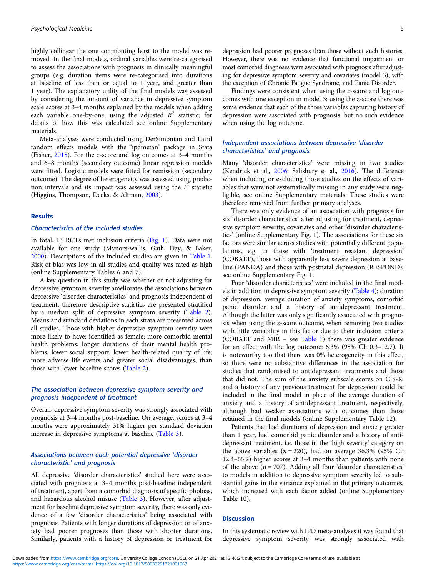highly collinear the one contributing least to the model was removed. In the final models, ordinal variables were re-categorised to assess the associations with prognosis in clinically meaningful groups (e.g. duration items were re-categorised into durations at baseline of less than or equal to 1 year, and greater than 1 year). The explanatory utility of the final models was assessed by considering the amount of variance in depressive symptom scale scores at 3–4 months explained by the models when adding each variable one-by-one, using the adjusted  $R^2$  statistic; for details of how this was calculated see online Supplementary materials.

Meta-analyses were conducted using DerSimonian and Laird random effects models with the 'ipdmetan' package in Stata (Fisher, [2015\)](#page-12-0). For the z-score and log outcomes at 3–4 months and 6–8 months (secondary outcome) linear regression models were fitted. Logistic models were fitted for remission (secondary outcome). The degree of heterogeneity was assessed using prediction intervals and its impact was assessed using the  $I^2$  statistic (Higgins, Thompson, Deeks, & Altman, [2003](#page-12-0)).

#### Results

## Characteristics of the included studies

In total, 13 RCTs met inclusion criteria ([Fig. 1\)](#page-5-0). Data were not available for one study (Mynors-wallis, Gath, Day, & Baker, [2000\)](#page-13-0). Descriptions of the included studies are given in [Table 1.](#page-3-0) Risk of bias was low in all studies and quality was rated as high (online Supplementary Tables 6 and 7).

A key question in this study was whether or not adjusting for depressive symptom severity ameliorates the associations between depressive 'disorder characteristics' and prognosis independent of treatment, therefore descriptive statistics are presented stratified by a median split of depressive symptom severity ([Table 2\)](#page-6-0). Means and standard deviations in each strata are presented across all studies. Those with higher depressive symptom severity were more likely to have: identified as female; more comorbid mental health problems; longer durations of their mental health problems; lower social support; lower health-related quality of life; more adverse life events and greater social disadvantages, than those with lower baseline scores [\(Table 2\)](#page-6-0).

## The association between depressive symptom severity and prognosis independent of treatment

Overall, depressive symptom severity was strongly associated with prognosis at 3–4 months post-baseline. On average, scores at 3–4 months were approximately 31% higher per standard deviation increase in depressive symptoms at baseline ([Table 3](#page-8-0)).

# Associations between each potential depressive 'disorder characteristic' and prognosis

All depressive 'disorder characteristics' studied here were associated with prognosis at 3–4 months post-baseline independent of treatment, apart from a comorbid diagnosis of specific phobias, and hazardous alcohol misuse ([Table 3\)](#page-8-0). However, after adjustment for baseline depressive symptom severity, there was only evidence of a few 'disorder characteristics' being associated with prognosis. Patients with longer durations of depression or of anxiety had poorer prognoses than those with shorter durations. Similarly, patients with a history of depression or treatment for

depression had poorer prognoses than those without such histories. However, there was no evidence that functional impairment or most comorbid diagnoses were associated with prognosis after adjusting for depressive symptom severity and covariates (model 3), with the exception of Chronic Fatigue Syndrome, and Panic Disorder.

Findings were consistent when using the z-score and log outcomes with one exception in model 3: using the z-score there was some evidence that each of the three variables capturing history of depression were associated with prognosis, but no such evidence when using the log outcome.

## Independent associations between depressive 'disorder characteristics' and prognosis

Many 'disorder characteristics' were missing in two studies (Kendrick et al., [2006](#page-12-0); Salisbury et al., [2016\)](#page-13-0). The difference when including or excluding those studies on the effects of variables that were not systematically missing in any study were negligible, see online Supplementary materials. These studies were therefore removed from further primary analyses.

There was only evidence of an association with prognosis for six 'disorder characteristics' after adjusting for treatment, depressive symptom severity, covariates and other 'disorder characteristics' (online Supplementary Fig. 1). The associations for these six factors were similar across studies with potentially different populations, e.g. in those with 'treatment resistant depression' (COBALT), those with apparently less severe depression at baseline (PANDA) and those with postnatal depression (RESPOND); see online Supplementary Fig. 1.

Four 'disorder characteristics' were included in the final models in addition to depressive symptom severity [\(Table 4](#page-10-0)): duration of depression, average duration of anxiety symptoms, comorbid panic disorder and a history of antidepressant treatment. Although the latter was only significantly associated with prognosis when using the z-score outcome, when removing two studies with little variability in this factor due to their inclusion criteria (COBALT and MIR – see [Table 1\)](#page-3-0) there was greater evidence for an effect with the log outcome: 6.3% (95% CI: 0.3–12.7). It is noteworthy too that there was 0% heterogeneity in this effect, so there were no substantive differences in the association for studies that randomised to antidepressant treatments and those that did not. The sum of the anxiety subscale scores on CIS-R, and a history of any previous treatment for depression could be included in the final model in place of the average duration of anxiety and a history of antidepressant treatment, respectively, although had weaker associations with outcomes than those retained in the final models (online Supplementary Table 12).

Patients that had durations of depression and anxiety greater than 1 year, had comorbid panic disorder and a history of antidepressant treatment, i.e. those in the 'high severity' category on the above variables  $(n = 220)$ , had on average 36.3% (95% CI: 12.4–65.2) higher scores at 3–4 months than patients with none of the above  $(n = 707)$ . Adding all four 'disorder characteristics' to models in addition to depressive symptom severity led to substantial gains in the variance explained in the primary outcomes, which increased with each factor added (online Supplementary Table 10).

#### **Discussion**

In this systematic review with IPD meta-analyses it was found that depressive symptom severity was strongly associated with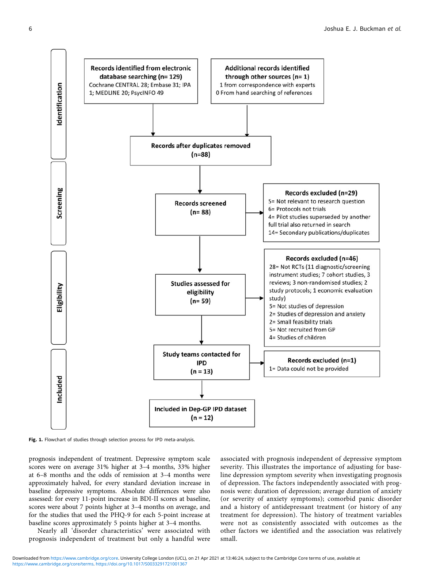<span id="page-5-0"></span>

Fig. 1. Flowchart of studies through selection process for IPD meta-analysis.

prognosis independent of treatment. Depressive symptom scale scores were on average 31% higher at 3–4 months, 33% higher at 6–8 months and the odds of remission at 3–4 months were approximately halved, for every standard deviation increase in baseline depressive symptoms. Absolute differences were also assessed: for every 11-point increase in BDI-II scores at baseline, scores were about 7 points higher at 3–4 months on average, and for the studies that used the PHQ-9 for each 5-point increase at baseline scores approximately 5 points higher at 3–4 months.

Nearly all 'disorder characteristics' were associated with prognosis independent of treatment but only a handful were

associated with prognosis independent of depressive symptom severity. This illustrates the importance of adjusting for baseline depression symptom severity when investigating prognosis of depression. The factors independently associated with prognosis were: duration of depression; average duration of anxiety (or severity of anxiety symptoms); comorbid panic disorder and a history of antidepressant treatment (or history of any treatment for depression). The history of treatment variables were not as consistently associated with outcomes as the other factors we identified and the association was relatively small.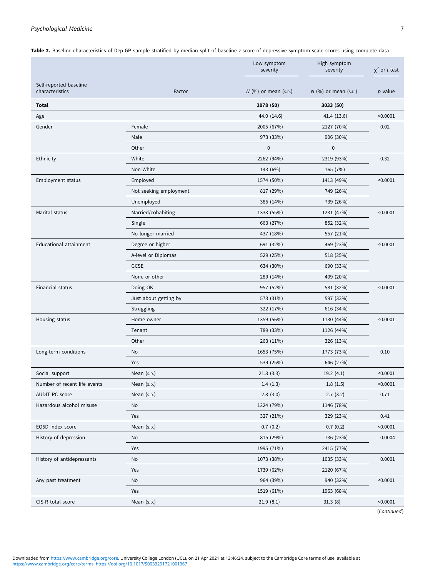# <span id="page-6-0"></span>Psychological Medicine 7 7

Table 2. Baseline characteristics of Dep-GP sample stratified by median split of baseline z-score of depressive symptom scale scores using complete data

| Self-reported baseline<br>characteristics<br>$N$ (%) or mean (s.p.)<br>N (%) or mean (s.p.)<br>Factor<br>$p$ value<br>Total<br>2978 (50)<br>3033(50)<br>< 0.0001<br>44.0 (14.6)<br>41.4 (13.6)<br>Age<br>0.02<br>Gender<br>Female<br>2005 (67%)<br>2127 (70%)<br>Male<br>973 (33%)<br>906 (30%)<br>Other<br>$\pmb{0}$<br>$\mathbf 0$<br>Ethnicity<br>White<br>2262 (94%)<br>2319 (93%)<br>0.32<br>Non-White<br>143 (6%)<br>165 (7%)<br>1574 (50%)<br>Employment status<br>Employed<br>1413 (49%)<br>< 0.0001<br>Not seeking employment<br>817 (29%)<br>749 (26%)<br>Unemployed<br>385 (14%)<br>739 (26%)<br>Marital status<br>Married/cohabiting<br>1333 (55%)<br>< 0.0001<br>1231 (47%)<br>Single<br>663 (27%)<br>852 (32%)<br>No longer married<br>437 (18%)<br>557 (21%)<br><b>Educational attainment</b><br>Degree or higher<br>691 (32%)<br>< 0.0001<br>469 (23%)<br>A-level or Diplomas<br>529 (25%)<br>518 (25%)<br><b>GCSE</b><br>634 (30%)<br>690 (33%)<br>None or other<br>289 (14%)<br>409 (20%)<br>Financial status<br>957 (52%)<br>< 0.0001<br>Doing OK<br>581 (32%)<br>573 (31%)<br>Just about getting by<br>597 (33%)<br>Struggling<br>322 (17%)<br>616 (34%)<br>1359 (56%)<br>< 0.0001<br>Housing status<br>Home owner<br>1130 (44%)<br>Tenant<br>789 (33%)<br>1126 (44%)<br>Other<br>263 (11%)<br>326 (13%)<br>Long-term conditions<br>1653 (75%)<br>0.10<br><b>No</b><br>1773 (73%)<br>Yes<br>539 (25%)<br>646 (27%)<br>Mean (s.p.)<br>< 0.0001<br>Social support<br>21.3(3.3)<br>19.2(4.1)<br>1.4(1.3)<br>< 0.0001<br>1.8(1.5)<br>Number of recent life events<br>Mean $(s.p.)$<br>AUDIT-PC score<br>Mean (s.p.)<br>2.8(3.0)<br>0.71<br>2.7(3.2)<br>Hazardous alcohol misuse<br>1224 (79%)<br>No<br>1146 (78%)<br>327 (21%)<br>0.41<br>Yes<br>329 (23%)<br>EQ5D index score<br>Mean (s.p.)<br>0.7(0.2)<br>0.7(0.2)<br>< 0.0001<br>History of depression<br>0.0004<br>815 (29%)<br>736 (23%)<br>No<br>Yes<br>1995 (71%)<br>2415 (77%)<br>History of antidepressants<br>1073 (38%)<br>0.0001<br>No<br>1035 (33%)<br>Yes<br>1739 (62%)<br>2120 (67%)<br>964 (39%)<br>940 (32%)<br>< 0.0001<br>Any past treatment<br>No<br>Yes<br>1519 (61%)<br>1963 (68%) |  | Low symptom<br>severity | High symptom<br>severity | $\chi^2$ or t test |
|---------------------------------------------------------------------------------------------------------------------------------------------------------------------------------------------------------------------------------------------------------------------------------------------------------------------------------------------------------------------------------------------------------------------------------------------------------------------------------------------------------------------------------------------------------------------------------------------------------------------------------------------------------------------------------------------------------------------------------------------------------------------------------------------------------------------------------------------------------------------------------------------------------------------------------------------------------------------------------------------------------------------------------------------------------------------------------------------------------------------------------------------------------------------------------------------------------------------------------------------------------------------------------------------------------------------------------------------------------------------------------------------------------------------------------------------------------------------------------------------------------------------------------------------------------------------------------------------------------------------------------------------------------------------------------------------------------------------------------------------------------------------------------------------------------------------------------------------------------------------------------------------------------------------------------------------------------------------------------------------------------------------------------------------------------------------------------------------------------------------------------------------------------------------------|--|-------------------------|--------------------------|--------------------|
|                                                                                                                                                                                                                                                                                                                                                                                                                                                                                                                                                                                                                                                                                                                                                                                                                                                                                                                                                                                                                                                                                                                                                                                                                                                                                                                                                                                                                                                                                                                                                                                                                                                                                                                                                                                                                                                                                                                                                                                                                                                                                                                                                                           |  |                         |                          |                    |
|                                                                                                                                                                                                                                                                                                                                                                                                                                                                                                                                                                                                                                                                                                                                                                                                                                                                                                                                                                                                                                                                                                                                                                                                                                                                                                                                                                                                                                                                                                                                                                                                                                                                                                                                                                                                                                                                                                                                                                                                                                                                                                                                                                           |  |                         |                          |                    |
|                                                                                                                                                                                                                                                                                                                                                                                                                                                                                                                                                                                                                                                                                                                                                                                                                                                                                                                                                                                                                                                                                                                                                                                                                                                                                                                                                                                                                                                                                                                                                                                                                                                                                                                                                                                                                                                                                                                                                                                                                                                                                                                                                                           |  |                         |                          |                    |
|                                                                                                                                                                                                                                                                                                                                                                                                                                                                                                                                                                                                                                                                                                                                                                                                                                                                                                                                                                                                                                                                                                                                                                                                                                                                                                                                                                                                                                                                                                                                                                                                                                                                                                                                                                                                                                                                                                                                                                                                                                                                                                                                                                           |  |                         |                          |                    |
|                                                                                                                                                                                                                                                                                                                                                                                                                                                                                                                                                                                                                                                                                                                                                                                                                                                                                                                                                                                                                                                                                                                                                                                                                                                                                                                                                                                                                                                                                                                                                                                                                                                                                                                                                                                                                                                                                                                                                                                                                                                                                                                                                                           |  |                         |                          |                    |
|                                                                                                                                                                                                                                                                                                                                                                                                                                                                                                                                                                                                                                                                                                                                                                                                                                                                                                                                                                                                                                                                                                                                                                                                                                                                                                                                                                                                                                                                                                                                                                                                                                                                                                                                                                                                                                                                                                                                                                                                                                                                                                                                                                           |  |                         |                          |                    |
|                                                                                                                                                                                                                                                                                                                                                                                                                                                                                                                                                                                                                                                                                                                                                                                                                                                                                                                                                                                                                                                                                                                                                                                                                                                                                                                                                                                                                                                                                                                                                                                                                                                                                                                                                                                                                                                                                                                                                                                                                                                                                                                                                                           |  |                         |                          |                    |
|                                                                                                                                                                                                                                                                                                                                                                                                                                                                                                                                                                                                                                                                                                                                                                                                                                                                                                                                                                                                                                                                                                                                                                                                                                                                                                                                                                                                                                                                                                                                                                                                                                                                                                                                                                                                                                                                                                                                                                                                                                                                                                                                                                           |  |                         |                          |                    |
|                                                                                                                                                                                                                                                                                                                                                                                                                                                                                                                                                                                                                                                                                                                                                                                                                                                                                                                                                                                                                                                                                                                                                                                                                                                                                                                                                                                                                                                                                                                                                                                                                                                                                                                                                                                                                                                                                                                                                                                                                                                                                                                                                                           |  |                         |                          |                    |
|                                                                                                                                                                                                                                                                                                                                                                                                                                                                                                                                                                                                                                                                                                                                                                                                                                                                                                                                                                                                                                                                                                                                                                                                                                                                                                                                                                                                                                                                                                                                                                                                                                                                                                                                                                                                                                                                                                                                                                                                                                                                                                                                                                           |  |                         |                          |                    |
|                                                                                                                                                                                                                                                                                                                                                                                                                                                                                                                                                                                                                                                                                                                                                                                                                                                                                                                                                                                                                                                                                                                                                                                                                                                                                                                                                                                                                                                                                                                                                                                                                                                                                                                                                                                                                                                                                                                                                                                                                                                                                                                                                                           |  |                         |                          |                    |
|                                                                                                                                                                                                                                                                                                                                                                                                                                                                                                                                                                                                                                                                                                                                                                                                                                                                                                                                                                                                                                                                                                                                                                                                                                                                                                                                                                                                                                                                                                                                                                                                                                                                                                                                                                                                                                                                                                                                                                                                                                                                                                                                                                           |  |                         |                          |                    |
|                                                                                                                                                                                                                                                                                                                                                                                                                                                                                                                                                                                                                                                                                                                                                                                                                                                                                                                                                                                                                                                                                                                                                                                                                                                                                                                                                                                                                                                                                                                                                                                                                                                                                                                                                                                                                                                                                                                                                                                                                                                                                                                                                                           |  |                         |                          |                    |
|                                                                                                                                                                                                                                                                                                                                                                                                                                                                                                                                                                                                                                                                                                                                                                                                                                                                                                                                                                                                                                                                                                                                                                                                                                                                                                                                                                                                                                                                                                                                                                                                                                                                                                                                                                                                                                                                                                                                                                                                                                                                                                                                                                           |  |                         |                          |                    |
|                                                                                                                                                                                                                                                                                                                                                                                                                                                                                                                                                                                                                                                                                                                                                                                                                                                                                                                                                                                                                                                                                                                                                                                                                                                                                                                                                                                                                                                                                                                                                                                                                                                                                                                                                                                                                                                                                                                                                                                                                                                                                                                                                                           |  |                         |                          |                    |
|                                                                                                                                                                                                                                                                                                                                                                                                                                                                                                                                                                                                                                                                                                                                                                                                                                                                                                                                                                                                                                                                                                                                                                                                                                                                                                                                                                                                                                                                                                                                                                                                                                                                                                                                                                                                                                                                                                                                                                                                                                                                                                                                                                           |  |                         |                          |                    |
|                                                                                                                                                                                                                                                                                                                                                                                                                                                                                                                                                                                                                                                                                                                                                                                                                                                                                                                                                                                                                                                                                                                                                                                                                                                                                                                                                                                                                                                                                                                                                                                                                                                                                                                                                                                                                                                                                                                                                                                                                                                                                                                                                                           |  |                         |                          |                    |
|                                                                                                                                                                                                                                                                                                                                                                                                                                                                                                                                                                                                                                                                                                                                                                                                                                                                                                                                                                                                                                                                                                                                                                                                                                                                                                                                                                                                                                                                                                                                                                                                                                                                                                                                                                                                                                                                                                                                                                                                                                                                                                                                                                           |  |                         |                          |                    |
|                                                                                                                                                                                                                                                                                                                                                                                                                                                                                                                                                                                                                                                                                                                                                                                                                                                                                                                                                                                                                                                                                                                                                                                                                                                                                                                                                                                                                                                                                                                                                                                                                                                                                                                                                                                                                                                                                                                                                                                                                                                                                                                                                                           |  |                         |                          |                    |
|                                                                                                                                                                                                                                                                                                                                                                                                                                                                                                                                                                                                                                                                                                                                                                                                                                                                                                                                                                                                                                                                                                                                                                                                                                                                                                                                                                                                                                                                                                                                                                                                                                                                                                                                                                                                                                                                                                                                                                                                                                                                                                                                                                           |  |                         |                          |                    |
|                                                                                                                                                                                                                                                                                                                                                                                                                                                                                                                                                                                                                                                                                                                                                                                                                                                                                                                                                                                                                                                                                                                                                                                                                                                                                                                                                                                                                                                                                                                                                                                                                                                                                                                                                                                                                                                                                                                                                                                                                                                                                                                                                                           |  |                         |                          |                    |
|                                                                                                                                                                                                                                                                                                                                                                                                                                                                                                                                                                                                                                                                                                                                                                                                                                                                                                                                                                                                                                                                                                                                                                                                                                                                                                                                                                                                                                                                                                                                                                                                                                                                                                                                                                                                                                                                                                                                                                                                                                                                                                                                                                           |  |                         |                          |                    |
|                                                                                                                                                                                                                                                                                                                                                                                                                                                                                                                                                                                                                                                                                                                                                                                                                                                                                                                                                                                                                                                                                                                                                                                                                                                                                                                                                                                                                                                                                                                                                                                                                                                                                                                                                                                                                                                                                                                                                                                                                                                                                                                                                                           |  |                         |                          |                    |
|                                                                                                                                                                                                                                                                                                                                                                                                                                                                                                                                                                                                                                                                                                                                                                                                                                                                                                                                                                                                                                                                                                                                                                                                                                                                                                                                                                                                                                                                                                                                                                                                                                                                                                                                                                                                                                                                                                                                                                                                                                                                                                                                                                           |  |                         |                          |                    |
|                                                                                                                                                                                                                                                                                                                                                                                                                                                                                                                                                                                                                                                                                                                                                                                                                                                                                                                                                                                                                                                                                                                                                                                                                                                                                                                                                                                                                                                                                                                                                                                                                                                                                                                                                                                                                                                                                                                                                                                                                                                                                                                                                                           |  |                         |                          |                    |
|                                                                                                                                                                                                                                                                                                                                                                                                                                                                                                                                                                                                                                                                                                                                                                                                                                                                                                                                                                                                                                                                                                                                                                                                                                                                                                                                                                                                                                                                                                                                                                                                                                                                                                                                                                                                                                                                                                                                                                                                                                                                                                                                                                           |  |                         |                          |                    |
|                                                                                                                                                                                                                                                                                                                                                                                                                                                                                                                                                                                                                                                                                                                                                                                                                                                                                                                                                                                                                                                                                                                                                                                                                                                                                                                                                                                                                                                                                                                                                                                                                                                                                                                                                                                                                                                                                                                                                                                                                                                                                                                                                                           |  |                         |                          |                    |
|                                                                                                                                                                                                                                                                                                                                                                                                                                                                                                                                                                                                                                                                                                                                                                                                                                                                                                                                                                                                                                                                                                                                                                                                                                                                                                                                                                                                                                                                                                                                                                                                                                                                                                                                                                                                                                                                                                                                                                                                                                                                                                                                                                           |  |                         |                          |                    |
|                                                                                                                                                                                                                                                                                                                                                                                                                                                                                                                                                                                                                                                                                                                                                                                                                                                                                                                                                                                                                                                                                                                                                                                                                                                                                                                                                                                                                                                                                                                                                                                                                                                                                                                                                                                                                                                                                                                                                                                                                                                                                                                                                                           |  |                         |                          |                    |
|                                                                                                                                                                                                                                                                                                                                                                                                                                                                                                                                                                                                                                                                                                                                                                                                                                                                                                                                                                                                                                                                                                                                                                                                                                                                                                                                                                                                                                                                                                                                                                                                                                                                                                                                                                                                                                                                                                                                                                                                                                                                                                                                                                           |  |                         |                          |                    |
|                                                                                                                                                                                                                                                                                                                                                                                                                                                                                                                                                                                                                                                                                                                                                                                                                                                                                                                                                                                                                                                                                                                                                                                                                                                                                                                                                                                                                                                                                                                                                                                                                                                                                                                                                                                                                                                                                                                                                                                                                                                                                                                                                                           |  |                         |                          |                    |
|                                                                                                                                                                                                                                                                                                                                                                                                                                                                                                                                                                                                                                                                                                                                                                                                                                                                                                                                                                                                                                                                                                                                                                                                                                                                                                                                                                                                                                                                                                                                                                                                                                                                                                                                                                                                                                                                                                                                                                                                                                                                                                                                                                           |  |                         |                          |                    |
|                                                                                                                                                                                                                                                                                                                                                                                                                                                                                                                                                                                                                                                                                                                                                                                                                                                                                                                                                                                                                                                                                                                                                                                                                                                                                                                                                                                                                                                                                                                                                                                                                                                                                                                                                                                                                                                                                                                                                                                                                                                                                                                                                                           |  |                         |                          |                    |
|                                                                                                                                                                                                                                                                                                                                                                                                                                                                                                                                                                                                                                                                                                                                                                                                                                                                                                                                                                                                                                                                                                                                                                                                                                                                                                                                                                                                                                                                                                                                                                                                                                                                                                                                                                                                                                                                                                                                                                                                                                                                                                                                                                           |  |                         |                          |                    |
|                                                                                                                                                                                                                                                                                                                                                                                                                                                                                                                                                                                                                                                                                                                                                                                                                                                                                                                                                                                                                                                                                                                                                                                                                                                                                                                                                                                                                                                                                                                                                                                                                                                                                                                                                                                                                                                                                                                                                                                                                                                                                                                                                                           |  |                         |                          |                    |
|                                                                                                                                                                                                                                                                                                                                                                                                                                                                                                                                                                                                                                                                                                                                                                                                                                                                                                                                                                                                                                                                                                                                                                                                                                                                                                                                                                                                                                                                                                                                                                                                                                                                                                                                                                                                                                                                                                                                                                                                                                                                                                                                                                           |  |                         |                          |                    |
|                                                                                                                                                                                                                                                                                                                                                                                                                                                                                                                                                                                                                                                                                                                                                                                                                                                                                                                                                                                                                                                                                                                                                                                                                                                                                                                                                                                                                                                                                                                                                                                                                                                                                                                                                                                                                                                                                                                                                                                                                                                                                                                                                                           |  |                         |                          |                    |
|                                                                                                                                                                                                                                                                                                                                                                                                                                                                                                                                                                                                                                                                                                                                                                                                                                                                                                                                                                                                                                                                                                                                                                                                                                                                                                                                                                                                                                                                                                                                                                                                                                                                                                                                                                                                                                                                                                                                                                                                                                                                                                                                                                           |  |                         |                          |                    |
| CIS-R total score<br>Mean (s.p.)<br>< 0.0001<br>21.9(8.1)<br>31.3(8)                                                                                                                                                                                                                                                                                                                                                                                                                                                                                                                                                                                                                                                                                                                                                                                                                                                                                                                                                                                                                                                                                                                                                                                                                                                                                                                                                                                                                                                                                                                                                                                                                                                                                                                                                                                                                                                                                                                                                                                                                                                                                                      |  |                         |                          |                    |

(Continued)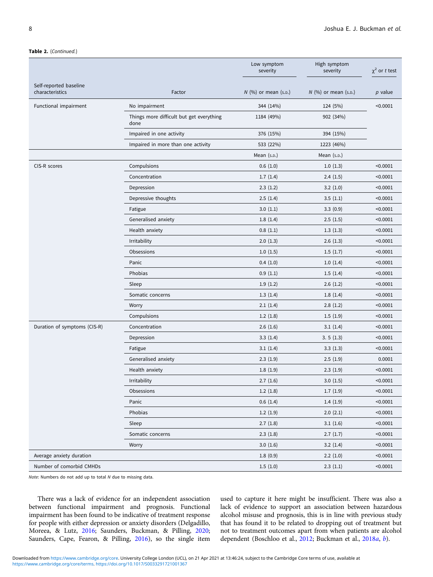#### Table 2. (Continued.)

|                                           |                                                  | Low symptom<br>severity | High symptom<br>severity | $\chi^2$ or t test |
|-------------------------------------------|--------------------------------------------------|-------------------------|--------------------------|--------------------|
| Self-reported baseline<br>characteristics | Factor                                           | $N$ (%) or mean (s.p.)  | $N$ (%) or mean (s.p.)   | $p$ value          |
| Functional impairment                     | No impairment                                    | 344 (14%)               | 124 (5%)                 | < 0.0001           |
|                                           | Things more difficult but get everything<br>done | 1184 (49%)              | 902 (34%)                |                    |
|                                           | Impaired in one activity                         | 376 (15%)               | 394 (15%)                |                    |
|                                           | Impaired in more than one activity               | 533 (22%)               | 1223 (46%)               |                    |
|                                           |                                                  | Mean $(s.p.)$           | Mean $(s.p.)$            |                    |
| CIS-R scores                              | Compulsions                                      | 0.6(1.0)                | 1.0(1.3)                 | < 0.0001           |
|                                           | Concentration                                    | 1.7(1.4)                | 2.4(1.5)                 | < 0.0001           |
|                                           | Depression                                       | 2.3(1.2)                | 3.2(1.0)                 | < 0.0001           |
|                                           | Depressive thoughts                              | 2.5(1.4)                | 3.5(1.1)                 | < 0.0001           |
|                                           | Fatigue                                          | 3.0(1.1)                | 3.3(0.9)                 | < 0.0001           |
|                                           | Generalised anxiety                              | 1.8(1.4)                | 2.5(1.5)                 | < 0.0001           |
|                                           | Health anxiety                                   | 0.8(1.1)                | 1.3(1.3)                 | < 0.0001           |
|                                           | Irritability                                     | 2.0(1.3)                | 2.6(1.3)                 | < 0.0001           |
|                                           | Obsessions                                       | 1.0(1.5)                | 1.5(1.7)                 | < 0.0001           |
|                                           | Panic                                            | 0.4(1.0)                | 1.0(1.4)                 | < 0.0001           |
|                                           | Phobias                                          | 0.9(1.1)                | 1.5(1.4)                 | < 0.0001           |
|                                           | Sleep                                            | 1.9(1.2)                | 2.6(1.2)                 | < 0.0001           |
|                                           | Somatic concerns                                 | 1.3(1.4)                | 1.8(1.4)                 | < 0.0001           |
|                                           | Worry                                            | 2.1(1.4)                | 2.8(1.2)                 | < 0.0001           |
|                                           | Compulsions                                      | 1.2(1.8)                | 1.5(1.9)                 | < 0.0001           |
| Duration of symptoms (CIS-R)              | Concentration                                    | 2.6(1.6)                | 3.1(1.4)                 | < 0.0001           |
|                                           | Depression                                       | 3.3(1.4)                | 3.5(1.3)                 | < 0.0001           |
|                                           | Fatigue                                          | 3.1(1.4)                | 3.3(1.3)                 | < 0.0001           |
|                                           | Generalised anxiety                              | 2.3(1.9)                | 2.5(1.9)                 | 0.0001             |
|                                           | Health anxiety                                   | 1.8(1.9)                | 2.3(1.9)                 | < 0.0001           |
|                                           | Irritability                                     | 2.7(1.6)                | 3.0(1.5)                 | < 0.0001           |
|                                           | Obsessions                                       | 1.2(1.8)                | 1.7(1.9)                 | < 0.0001           |
|                                           | Panic                                            | 0.6(1.4)                | 1.4(1.9)                 | < 0.0001           |
|                                           | Phobias                                          | 1.2(1.9)                | 2.0(2.1)                 | < 0.0001           |
|                                           | Sleep                                            | 2.7(1.8)                | 3.1(1.6)                 | < 0.0001           |
|                                           | Somatic concerns                                 | 2.3(1.8)                | 2.7(1.7)                 | < 0.0001           |
|                                           | Worry                                            | 3.0(1.6)                | 3.2(1.4)                 | < 0.0001           |
| Average anxiety duration                  |                                                  | 1.8(0.9)                | 2.2(1.0)                 | < 0.0001           |
| Number of comorbid CMHDs                  |                                                  | 1.5(1.0)                | 2.3(1.1)                 | < 0.0001           |

Note: Numbers do not add up to total N due to missing data.

There was a lack of evidence for an independent association between functional impairment and prognosis. Functional impairment has been found to be indicative of treatment response for people with either depression or anxiety disorders (Delgadillo, Moreea, & Lutz, [2016;](#page-12-0) Saunders, Buckman, & Pilling, [2020](#page-13-0); Saunders, Cape, Fearon, & Pilling, [2016\)](#page-13-0), so the single item

used to capture it here might be insufficient. There was also a lack of evidence to support an association between hazardous alcohol misuse and prognosis, this is in line with previous study that has found it to be related to dropping out of treatment but not to treatment outcomes apart from when patients are alcohol dependent (Boschloo et al., [2012](#page-12-0); Buckman et al., [2018](#page-12-0)a, [b](#page-12-0)).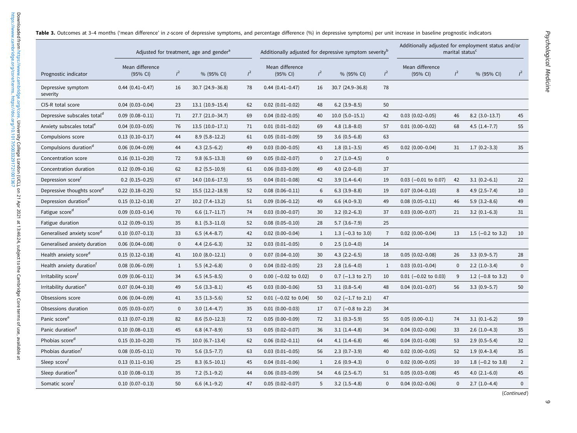|                                         |                             |              | Adjusted for treatment, age and gender <sup>a</sup> |              | Additionally adjusted for depressive symptom severity <sup>b</sup> |              |                              |                | Additionally adjusted for employment status and/or | marital status <sup>c</sup> |                      |                |
|-----------------------------------------|-----------------------------|--------------|-----------------------------------------------------|--------------|--------------------------------------------------------------------|--------------|------------------------------|----------------|----------------------------------------------------|-----------------------------|----------------------|----------------|
| Prognostic indicator                    | Mean difference<br>(95% CI) | $l^2$        | % (95% CI)                                          | $l^2$        | Mean difference<br>(95% CI)                                        | $l^2$        | % (95% CI)                   | $l^2$          | Mean difference<br>(95% CI)                        | $l^2$                       | % (95% CI)           | $l^2$          |
| Depressive symptom<br>severity          | $0.44$ $(0.41 - 0.47)$      | 16           | $30.7(24.9 - 36.8)$                                 | 78           | $0.44(0.41 - 0.47)$                                                | 16           | 30.7 (24.9-36.8)             | 78             |                                                    |                             |                      |                |
| CIS-R total score                       | $0.04$ $(0.03 - 0.04)$      | 23           | $13.1(10.9-15.4)$                                   | 62           | $0.02$ $(0.01 - 0.02)$                                             | 48           | $6.2$ (3.9-8.5)              | 50             |                                                    |                             |                      |                |
| Depressive subscales total <sup>d</sup> | $0.09$ $(0.08 - 0.11)$      | 71           | 27.7 (21.0-34.7)                                    | 69           | $0.04$ $(0.02 - 0.05)$                                             | 40           | $10.0 (5.0 - 15.1)$          | 42             | $0.03$ $(0.02 - 0.05)$                             | 46                          | $8.2$ (3.0-13.7)     | 45             |
| Anxiety subscales total <sup>e</sup>    | $0.04$ $(0.03 - 0.05)$      | 76           | $13.5(10.0-17.1)$                                   | 71           | $0.01(0.01 - 0.02)$                                                | 69           | $4.8$ $(1.8-8.0)$            | 57             | $0.01$ $(0.00 - 0.02)$                             | 68                          | $4.5(1.4 - 7.7)$     | 55             |
| Compulsions score                       | $0.13(0.10-0.17)$           | 44           | $8.9(5.8-12.2)$                                     | 61           | $0.05(0.01 - 0.09)$                                                | 59           | $3.6(0.5-6.8)$               | 63             |                                                    |                             |                      |                |
| Compulsions duration <sup>d</sup>       | $0.06$ $(0.04 - 0.09)$      | 44           | $4.3(2.5-6.2)$                                      | 49           | $0.03$ $(0.00 - 0.05)$                                             | 43           | $1.8(0.1-3.5)$               | 45             | $0.02$ $(0.00-0.04)$                               | 31                          | $1.7(0.2-3.3)$       | 35             |
| Concentration score                     | $0.16$ $(0.11 - 0.20)$      | 72           | $9.8(6.5-13.3)$                                     | 69           | $0.05(0.02 - 0.07)$                                                | $\mathbf{0}$ | $2.7(1.0-4.5)$               | $\mathbf 0$    |                                                    |                             |                      |                |
| Concentration duration                  | $0.12$ $(0.09 - 0.16)$      | 62           | $8.2$ (5.5-10.9)                                    | 61           | $0.06(0.03 - 0.09)$                                                | 49           | $4.0$ (2.0-6.0)              | 37             |                                                    |                             |                      |                |
| Depression score <sup>t</sup>           | $0.2$ (0.15-0.25)           | 67           | $14.0(10.6-17.5)$                                   | 55           | $0.04$ $(0.01 - 0.08)$                                             | 42           | $3.9(1.4-6.4)$               | 19             | $0.03$ (-0.01 to 0.07)                             | 42                          | $3.1(0.2-6.1)$       | 22             |
| Depressive thoughts score <sup>d</sup>  | $0.22$ (0.18-0.25)          | 52           | $15.5(12.2 - 18.9)$                                 | 52           | $0.08$ $(0.06 - 0.11)$                                             | 6            | $6.3$ $(3.9-8.8)$            | 19             | $0.07$ $(0.04 - 0.10)$                             | 8                           | $4.9(2.5 - 7.4)$     | 10             |
| Depression duration <sup>d</sup>        | $0.15(0.12 - 0.18)$         | 27           | $10.2$ (7.4-13.2)                                   | 51           | $0.09$ $(0.06 - 0.12)$                                             | 49           | $6.6$ (4.0-9.3)              | 49             | $0.08$ $(0.05 - 0.11)$                             | 46                          | $5.9(3.2 - 8.6)$     | 49             |
| Fatigue score <sup>d</sup>              | $0.09$ $(0.03 - 0.14)$      | 70           | $6.6$ $(1.7-11.7)$                                  | 74           | $0.03$ (0.00-0.07)                                                 | 30           | $3.2(0.2-6.3)$               | 37             | $0.03$ $(0.00 - 0.07)$                             | 21                          | $3.2(0.1-6.3)$       | 31             |
| Fatigue duration                        | $0.12$ $(0.09 - 0.15)$      | 35           | $8.1(5.3-11.0)$                                     | 52           | $0.08$ $(0.05 - 0.10)$                                             | 28           | $5.7(3.6 - 7.9)$             | 25             |                                                    |                             |                      |                |
| Generalised anxiety score <sup>d</sup>  | $0.10$ $(0.07-0.13)$        | 33           | $6.5(4.4 - 8.7)$                                    | 42           | $0.02$ $(0.00-0.04)$                                               | 1            | 1.3 $(-0.3 \text{ to } 3.0)$ | $\overline{7}$ | $0.02$ $(0.00-0.04)$                               | 13                          | 1.5 $(-0.2$ to 3.2)  | 10             |
| Generalised anxiety duration            | $0.06$ $(0.04 - 0.08)$      | $\pmb{0}$    | $4.4(2.6-6.3)$                                      | 32           | $0.03$ $(0.01 - 0.05)$                                             | $\mathbf{0}$ | $2.5(1.0-4.0)$               | 14             |                                                    |                             |                      |                |
| Health anxiety score <sup>d</sup>       | $0.15(0.12 - 0.18)$         | 41           | $10.0 (8.0 - 12.1)$                                 | $\mathbf 0$  | $0.07$ $(0.04 - 0.10)$                                             | 30           | $4.3$ (2.2-6.5)              | 18             | $0.05(0.02 - 0.08)$                                | 26                          | $3.3(0.9-5.7)$       | 28             |
| Health anxiety duration <sup>t</sup>    | $0.08$ $(0.06 - 0.09)$      | $\mathbf{1}$ | $5.5(4.2-6.8)$                                      | $\mathbf{0}$ | $0.04$ $(0.02 - 0.05)$                                             | 23           | $2.8(1.6-4.0)$               | 1              | $0.03$ $(0.01 - 0.04)$                             | $\mathbf{0}$                | $2.2(1.0-3.4)$       | $\mathbf 0$    |
| Irritability score <sup>f</sup>         | $0.09(0.06 - 0.11)$         | 34           | $6.5(4.5-8.5)$                                      | $\mathbf{0}$ | $0.00$ (-0.02 to 0.02)                                             | $\mathbf{0}$ | $0.7$ (-1.3 to 2.7)          | 10             | $0.01$ (-0.02 to 0.03)                             | 9                           | 1.2 ( $-0.8$ to 3.2) | $\mathbf 0$    |
| Irritability duration <sup>e</sup>      | $0.07$ $(0.04 - 0.10)$      | 49           | $5.6$ $(3.3-8.1)$                                   | 45           | $0.03$ $(0.00 - 0.06)$                                             | 53           | $3.1(0.8-5.4)$               | 48             | $0.04$ $(0.01 - 0.07)$                             | 56                          | $3.3(0.9 - 5.7)$     | 50             |
| Obsessions score                        | $0.06$ $(0.04 - 0.09)$      | 41           | $3.5(1.3-5.6)$                                      | 52           | $0.01$ (-0.02 to 0.04)                                             | 50           | $0.2$ (-1.7 to 2.1)          | 47             |                                                    |                             |                      |                |
| Obsessions duration                     | $0.05(0.03 - 0.07)$         | $\mathbf 0$  | $3.0(1.4-4.7)$                                      | 35           | $0.01$ $(0.00 - 0.03)$                                             | 17           | $0.7$ (-0.8 to 2.2)          | 34             |                                                    |                             |                      |                |
| Panic score <sup>e</sup>                | $0.13$ $(0.07 - 0.19)$      | 82           | $8.6$ (5.0-12.3)                                    | 72           | $0.05(0.00-0.09)$                                                  | 72           | $3.1(0.3-5.9)$               | 55             | $0.05(0.00-0.1)$                                   | 74                          | $3.1(0.1-6.2)$       | 59             |
| Panic duration <sup>d</sup>             | $0.10 (0.08 - 0.13)$        | 45           | $6.8$ $(4.7-8.9)$                                   | 53           | $0.05(0.02 - 0.07)$                                                | 36           | $3.1(1.4-4.8)$               | 34             | $0.04$ $(0.02 - 0.06)$                             | 33                          | $2.6(1.0-4.3)$       | 35             |
| Phobias score <sup>d</sup>              | $0.15(0.10-0.20)$           | 75           | $10.0 (6.7 - 13.4)$                                 | 62           | $0.06$ $(0.02 - 0.11)$                                             | 64           | $4.1(1.4-6.8)$               | 46             | $0.04(0.01 - 0.08)$                                | 53                          | $2.9(0.5-5.4)$       | 32             |
| Phobias duration <sup>f</sup>           | $0.08$ $(0.05 - 0.11)$      | 70           | $5.6$ $(3.5 - 7.7)$                                 | 63           | $0.03$ $(0.01 - 0.05)$                                             | 56           | $2.3(0.7-3.9)$               | 40             | $0.02$ $(0.00 - 0.05)$                             | 52                          | $1.9(0.4-3.4)$       | 35             |
| Sleep score <sup>f</sup>                | $0.13(0.11-0.16)$           | 25           | $8.3(6.5-10.1)$                                     | 45           | $0.04$ $(0.01 - 0.06)$                                             | $\mathbf{1}$ | $2.6(0.9-4.3)$               | $\mathbf 0$    | $0.02$ $(0.00 - 0.05)$                             | 10                          | 1.8 $(-0.2$ to 3.8)  | $\overline{2}$ |
| Sleep duration <sup>d</sup>             | $0.10$ $(0.08 - 0.13)$      | 35           | $7.2$ (5.1-9.2)                                     | 44           | $0.06$ $(0.03 - 0.09)$                                             | 54           | $4.6(2.5-6.7)$               | 51             | $0.05(0.03 - 0.08)$                                | 45                          | $4.0(2.1-6.0)$       | 45             |
| Somatic score <sup>t</sup>              | $0.10 (0.07 - 0.13)$        | 50           | $6.6$ $(4.1-9.2)$                                   | 47           | $0.05(0.02 - 0.07)$                                                | 5            | $3.2$ (1.5–4.8)              | $\mathbf{0}$   | $0.04$ $(0.02 - 0.06)$                             | 0                           | $2.7(1.0-4.4)$       | $\mathbf 0$    |
|                                         |                             |              |                                                     |              |                                                                    |              |                              |                |                                                    |                             |                      | (Continued)    |

<span id="page-8-0"></span>**Table 3.** Outcomes at 3–4 months ('mean difference' in z-score of depressive symptoms, and percentage difference (%) in depressive symptoms) per unit increase in baseline prognostic indicators

 $\circ$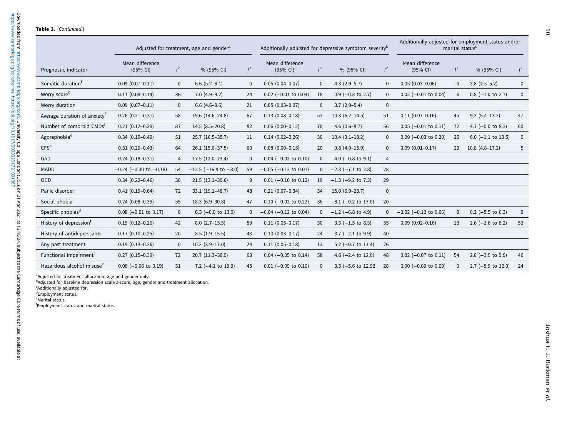|                                          |                             |                | Adjusted for treatment, age and gender <sup>a</sup> |             | Additionally adjusted for depressive symptom severity <sup>b</sup> |             |                         |                |                             |              | Additionally adjusted for employment status and/or<br>marital status <sup>c</sup> |       |
|------------------------------------------|-----------------------------|----------------|-----------------------------------------------------|-------------|--------------------------------------------------------------------|-------------|-------------------------|----------------|-----------------------------|--------------|-----------------------------------------------------------------------------------|-------|
| Prognostic indicator                     | Mean difference<br>(95% CI) | $l^2$          | % (95% CI)                                          | $l^2$       | Mean difference<br>(95% CI)                                        | $l^2$       | % (95% CI)              | $l^2$          | Mean difference<br>(95% CI) | $l^2$        | % (95% CI)                                                                        | $l^2$ |
| Somatic duration <sup>f</sup>            | $0.09$ $(0.07 - 0.11)$      | $\mathbf 0$    | $6.6$ $(5.2-8.1)$                                   | $\mathbf 0$ | $0.05(0.04 - 0.07)$                                                | $\mathbf 0$ | $4.3$ (2.9-5.7)         | $\Omega$       | $0.05(0.03 - 0.06)$         | $\mathbf 0$  | $3.8(2.5-5.2)$                                                                    | 0     |
| Worry score <sup>d</sup>                 | $0.11(0.08 - 0.14)$         | 36             | $7.0(4.9-9.2)$                                      | 24          | $0.02$ (-0.01 to 0.04)                                             | 18          | $0.9$ (-0.8 to 2.7)     | $\Omega$       | $0.02$ (-0.01 to 0.04)      | 6            | $0.8$ (-1.0 to 2.7)                                                               | 0     |
| Worry duration                           | $0.09$ $(0.07 - 0.11)$      | 0              | $6.6(4.6-8.6)$                                      | 21          | $0.05(0.03 - 0.07)$                                                | $\Omega$    | $3.7(2.0-5.4)$          | $\mathbf 0$    |                             |              |                                                                                   |       |
| Average duration of anxiety <sup>t</sup> | $0.26(0.21 - 0.31)$         | 58             | 19.6 (14.6-24.8)                                    | 67          | $0.13(0.08 - 0.18)$                                                | 53          | $10.3(6.2 - 14.5)$      | 51             | $0.11(0.07-0.16)$           | 45           | $9.2(5.4-13.2)$                                                                   | 47    |
| Number of comorbid CMDs <sup>f</sup>     | $0.21(0.12 - 0.29)$         | 87             | $14.5(8.5-20.8)$                                    | 82          | $0.06(0.00 - 0.12)$                                                | 70          | $4.6(0.6-8.7)$          | 56             | $0.05$ (-0.01 to 0.11)      | 72           | 4.1 $(-0.0 \text{ to } 8.3)$                                                      | 60    |
| Agoraphobia <sup>d</sup>                 | $0.34(0.19-0.49)$           | 51             | 25.7 (16.5-35.7)                                    | 11          | $0.14(0.02 - 0.26)$                                                | 30          | $10.4(3.1-18.2)$        | $\Omega$       | $0.09$ (-0.03 to 0.20)      | 25           | $6.0$ (-1.1 to 13.5)                                                              | 0     |
| CFS <sup>e</sup>                         | $0.31(0.20 - 0.43)$         | 64             | $26.1(15.6-37.5)$                                   | 60          | $0.08(0.00 - 0.15)$                                                | 20          | $9.8(4.0-15.9)$         | $\mathbf 0$    | $0.09(0.01 - 0.17)$         | 29           | $10.8(4.8-17.2)$                                                                  | 5     |
| GAD                                      | $0.24(0.18-0.31)$           | $\overline{4}$ | 17.5 (12.0-23.4)                                    | $\mathbf 0$ | $0.04$ (-0.02 to 0.10)                                             | $\mathbf 0$ | 4.0 $(-0.8$ to 9.1)     | $\overline{4}$ |                             |              |                                                                                   |       |
| <b>MADD</b>                              | $-0.24$ (-0.30 to -0.18)    | 54             | $-12.5$ ( $-16.8$ to $-8.0$ )                       | 59          | $-0.05$ ( $-0.12$ to 0.01)                                         | $\Omega$    | $-2.3$ ( $-7.1$ to 2.8) | 28             |                             |              |                                                                                   |       |
| <b>OCD</b>                               | $0.34(0.22 - 0.46)$         | 30             | $21.5(13.1-30.6)$                                   | 9           | $0.01$ (-0.10 to 0.12)                                             | 19          | $-1.3$ ( $-9.2$ to 7.3) | 29             |                             |              |                                                                                   |       |
| Panic disorder                           | $0.41(0.19 - 0.64)$         | 72             | $33.1(19.1 - 48.7)$                                 | 48          | $0.21(0.07-0.34)$                                                  | 34          | $15.0(6.9-23.7)$        | $\mathbf 0$    |                             |              |                                                                                   |       |
| Social phobia                            | $0.24(0.08-0.39)$           | 55             | $18.3(6.9-30.8)$                                    | 47          | $0.10$ (-0.02 to 0.22)                                             | 36          | $8.1$ (-0.2 to 17.0)    | 20             |                             |              |                                                                                   |       |
| Specific phobias <sup>d</sup>            | $0.08$ (-0.01 to 0.17)      | 0              | 6.3 $(-0.0 \text{ to } 13.0)$                       | 0           | $-0.04$ ( $-0.12$ to 0.04)                                         | $\Omega$    | $-1.2$ (-6.8 to 4.9)    | $\Omega$       | $-0.02$ ( $-0.10$ to 0.06)  | $\mathbf 0$  | $0.2$ (-5.5 to 6.3)                                                               | 0     |
| History of depression <sup>†</sup>       | $0.19(0.12 - 0.26)$         | 42             | $8.0(2.7-13.5)$                                     | 59          | $0.11(0.05 - 0.17)$                                                | 30          | $3.3$ (-1.5 to 8.3)     | 55             | $0.09$ $(0.02 - 0.16)$      | 13           | 2.6 $(-2.6$ to 8.2)                                                               | 53    |
| History of antidepressants               | $0.17(0.10-0.25)$           | 20             | $8.5(1.9-15.5)$                                     | 43          | $0.10(0.03 - 0.17)$                                                | 24          | $3.7$ (-2.1 to 9.9)     | 40             |                             |              |                                                                                   |       |
| Any past treatment                       | $0.19(0.13 - 0.26)$         | $\mathbf 0$    | $10.2$ (3.9-17.0)                                   | 24          | $0.11(0.05 - 0.18)$                                                | 13          | 5.2 $(-0.7$ to 11.4)    | 26             |                             |              |                                                                                   |       |
| Functional impairment <sup>†</sup>       | $0.27(0.15-0.39)$           | 72             | $20.7(11.3-30.9)$                                   | 63          | $0.04$ (-0.05 to 0.14)                                             | 58          | 4.6 $(-2.4$ to 12.0)    | 48             | $0.02$ (-0.07 to 0.11)      | 54           | 2.8 $(-3.9 \text{ to } 9.9)$                                                      | 46    |
| Hazardous alcohol misuse <sup>e</sup>    | $0.06$ (-0.06 to 0.19)      | 31             | 7.2 $(-4.1 \text{ to } 19.9)$                       | 45          | $0.01$ (-0.09 to 0.10)                                             | $\Omega$    | 3.3 (-5.6 to 12.92)     | 28             | $0.00$ (-0.09 to 0.09)      | $\mathbf{0}$ | $2.7$ (-5.9 to 12.0)                                                              | 24    |

<sup>a</sup>Adjusted for treatment allocation, age and gender only.<br><sup>b</sup>Adjusted for baseline depression scale z-score, age, gender and treatment allocation.

calculated its baseling dep<br>
<sup>c</sup>Additionally adjusted for.

dEmployment status.

<sup>e</sup>Marital status.

fEmployment status and marital status.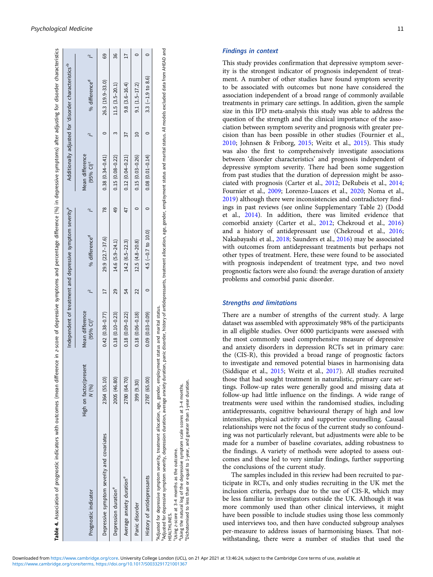<span id="page-10-0"></span>

| Table 4. Association of prognostic indicators with outcomes (mean difference in z-score of depressive symptoms elifference (%) in depressive symptoms) after adjusting for disorder characteristics                                                                                                                                                  |                                 |                                            |    |                                                                       |               |                                            |    |                                                                   |    |
|------------------------------------------------------------------------------------------------------------------------------------------------------------------------------------------------------------------------------------------------------------------------------------------------------------------------------------------------------|---------------------------------|--------------------------------------------|----|-----------------------------------------------------------------------|---------------|--------------------------------------------|----|-------------------------------------------------------------------|----|
|                                                                                                                                                                                                                                                                                                                                                      |                                 |                                            |    | Independent of treatment and depressive symptom severity <sup>a</sup> |               |                                            |    | Additionally adjusted for 'disorder characteristics' <sup>b</sup> |    |
| Prognostic indicator                                                                                                                                                                                                                                                                                                                                 | High on factor/present<br>N(96) | Mean difference<br>$(95%$ CI) <sup>c</sup> |    | % difference <sup>d</sup>                                             |               | Mean difference<br>$(95%$ CI) <sup>c</sup> |    | % difference <sup>d</sup>                                         |    |
| Depressive symptom severity and covariates                                                                                                                                                                                                                                                                                                           | 2364 (55.10)                    | $0.42(0.38 - 0.77)$                        |    | $29.9(22.7-37.6)$                                                     | $\frac{8}{2}$ | $0.38(0.34 - 0.41)$                        |    | $26.3(19.9 - 33.0)$                                               | 69 |
| Depression duration <sup>e</sup>                                                                                                                                                                                                                                                                                                                     | 2005 (46.80)                    | $0.18(0.10 - 0.23)$                        | 29 | $14.6(5.9 - 24.1)$                                                    |               | $0.15(0.08 - 0.22)$                        |    | $11.5(3.5-20.1)$                                                  | 36 |
| Average anxiety duration <sup>e</sup>                                                                                                                                                                                                                                                                                                                | 2780 (64.70)                    | $0.18(0.09 - 0.22)$                        | 54 | $14.2(6.5-22.3)$                                                      |               | $0.12(0.04 - 0.21)$                        | 77 | $9.8(3.6 - 16.4)$                                                 |    |
| Panic disorder                                                                                                                                                                                                                                                                                                                                       | 399 (9.30)                      | $0.18(0.06 - 0.18)$                        | 22 | $12.5(4.8-20.8)$                                                      |               | $0.15(0.03 - 0.26)$                        |    | $9.1(1.5-17.2)$                                                   |    |
| History of antidepressants                                                                                                                                                                                                                                                                                                                           | 2787 (65.00)                    | $0.09(0.03 - 0.09)$                        |    | 4.5 $(-0.7$ to 10.0)                                                  |               | $0.08(0.01 - 0.14)$                        |    | $3.3 (-1.9 to 8.6)$                                               |    |
| Adjusted for depressive symptom severity, depression duration, axerage anxiety duration, panic disorder, history of antidepressants, treatment allocation, age, gender, employment status and marital status. All models exclu<br>Adjusted for depressive symptom severity, treatment allocation, age, gender, employment status and marital status. |                                 |                                            |    |                                                                       |               |                                            |    |                                                                   |    |

'Using z-score at 3–4 months as the outcome.<br>"Using the natural log of the depressive symptom scale scores at 3–4 months.<br>"Dichotomised to less than or equal to 1-year, and greater than 1-year duration. Using z-score at 3-4 months as the outcome.<br>Using the natural log of the depressive symptom scale scores at 3-4 months.<br>"Dichotomised to less than or equal to 1-year, and greater than 1-year duration.

**IEALTHLINES.** HEALTHLINES.

 $\tilde{a}$ 

# Findings in context

This study provides confirmation that depressive symptom severity is the strongest indicator of prognosis independent of treatment. A number of other studies have found symptom severity to be associated with outcomes but none have considered the association independent of a broad range of commonly available treatments in primary care settings. In addition, given the sample size in this IPD meta-analysis this study was able to address the question of the strength and the clinical importance of the association between symptom severity and prognosis with greater precision than has been possible in other studies (Fournier et al., [2010](#page-12-0); Johnsen & Friborg, [2015;](#page-12-0) Weitz et al., [2015\)](#page-13-0). This study was also the first to comprehensively investigate associations between 'disorder characteristics' and prognosis independent of depressive symptom severity. There had been some suggestion from past studies that the duration of depression might be associated with prognosis (Carter et al., [2012;](#page-12-0) DeRubeis et al., [2014](#page-12-0); Fournier et al., [2009;](#page-12-0) Lorenzo-Luaces et al., [2020](#page-13-0); Noma et al., [2019](#page-13-0)) although there were inconsistencies and contradictory findings in past reviews (see online Supplementary Table 2) (Dodd et al., [2014](#page-12-0)). In addition, there was limited evidence that comorbid anxiety (Carter et al., [2012](#page-12-0); Chekroud et al., [2016](#page-12-0)) and a history of antidepressant use (Chekroud et al., [2016](#page-12-0); Nakabayashi et al., [2018](#page-13-0); Saunders et al., [2016](#page-13-0)) may be associated with outcomes from antidepressant treatments but perhaps not other types of treatment. Here, these were found to be associated with prognosis independent of treatment type, and two novel prognostic factors were also found: the average duration of anxiety problems and comorbid panic disorder.

# Strengths and limitations

There are a number of strengths of the current study. A large dataset was assembled with approximately 98% of the participants in all eligible studies. Over 6000 participants were assessed with the most commonly used comprehensive measure of depressive and anxiety disorders in depression RCTs set in primary care: the (CIS-R), this provided a broad range of prognostic factors to investigate and removed potential biases in harmonising data (Siddique et al., [2015;](#page-13-0) Weitz et al., [2017\)](#page-13-0). All studies recruited those that had sought treatment in naturalistic, primary care settings. Follow-up rates were generally good and missing data at follow-up had little influence on the findings. A wide range of treatments were used within the randomised studies, including antidepressants, cognitive behavioural therapy of high and low intensities, physical activity and supportive counselling. Causal relationships were not the focus of the current study so confounding was not particularly relevant, but adjustments were able to be made for a number of baseline covariates, adding robustness to the findings. A variety of methods were adopted to assess outcomes and these led to very similar findings, further supporting the conclusions of the current study.

The samples included in this review had been recruited to participate in RCTs, and only studies recruiting in the UK met the inclusion criteria, perhaps due to the use of CIS-R, which may be less familiar to investigators outside the UK. Although it was more commonly used than other clinical interviews, it might have been possible to include studies using those less commonly used interviews too, and then have conducted subgroup analyses per-measure to address issues of harmonising biases. That notwithstanding, there were a number of studies that used the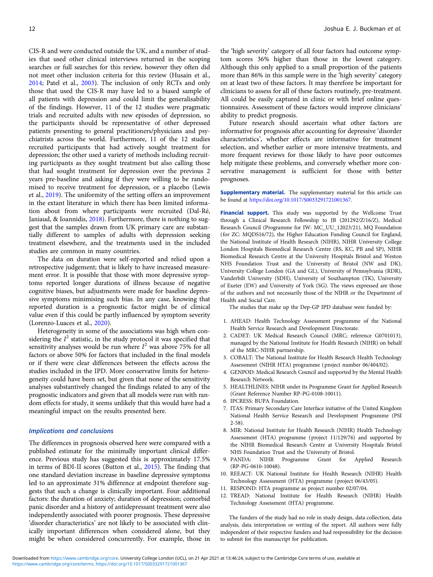CIS-R and were conducted outside the UK, and a number of studies that used other clinical interviews returned in the scoping searches or full searches for this review, however they often did not meet other inclusion criteria for this review (Husain et al., [2014;](#page-12-0) Patel et al., [2003\)](#page-13-0). The inclusion of only RCTs and only those that used the CIS-R may have led to a biased sample of all patients with depression and could limit the generalisability of the findings. However, 11 of the 12 studies were pragmatic trials and recruited adults with new episodes of depression, so the participants should be representative of other depressed patients presenting to general practitioners/physicians and psychiatrists across the world. Furthermore, 11 of the 12 studies recruited participants that had actively sought treatment for depression; the other used a variety of methods including recruiting participants as they sought treatment but also calling those that had sought treatment for depression over the previous 2 years pre-baseline and asking if they were willing to be randomised to receive treatment for depression, or a placebo (Lewis et al., [2019\)](#page-13-0). The uniformity of the setting offers an improvement in the extant literature in which there has been limited information about from where participants were recruited (Dal-Ré, Janiaud, & Ioannidis, [2018\)](#page-12-0). Furthermore, there is nothing to suggest that the samples drawn from UK primary care are substantially different to samples of adults with depression seeking treatment elsewhere, and the treatments used in the included studies are common in many countries.

The data on duration were self-reported and relied upon a retrospective judgement; that is likely to have increased measurement error. It is possible that those with more depressive symptoms reported longer durations of illness because of negative cognitive biases, but adjustments were made for baseline depressive symptoms minimising such bias. In any case, knowing that reported duration is a prognostic factor might be of clinical value even if this could be partly influenced by symptom severity (Lorenzo-Luaces et al., [2020\)](#page-13-0).

Heterogeneity in some of the associations was high when considering the  $I^2$  statistic, in the study protocol it was specified that sensitivity analyses would be run where  $I^2$  was above 75% for all factors or above 50% for factors that included in the final models or if there were clear differences between the effects across the studies included in the IPD. More conservative limits for heterogeneity could have been set, but given that none of the sensitivity analyses substantively changed the findings related to any of the prognostic indicators and given that all models were run with random effects for study, it seems unlikely that this would have had a meaningful impact on the results presented here.

#### Implications and conclusions

The differences in prognosis observed here were compared with a published estimate for the minimally important clinical difference. Previous study has suggested this is approximately 17.5% in terms of BDI-II scores (Button et al., [2015\)](#page-12-0). The finding that one standard deviation increase in baseline depressive symptoms led to an approximate 31% difference at endpoint therefore suggests that such a change is clinically important. Four additional factors: the duration of anxiety; duration of depression; comorbid panic disorder and a history of antidepressant treatment were also independently associated with poorer prognosis. These depressive 'disorder characteristics' are not likely to be associated with clinically important differences when considered alone, but they might be when considered concurrently. For example, those in

the 'high severity' category of all four factors had outcome symptom scores 36% higher than those in the lowest category. Although this only applied to a small proportion of the patients more than 86% in this sample were in the 'high severity' category on at least two of these factors. It may therefore be important for clinicians to assess for all of these factors routinely, pre-treatment. All could be easily captured in clinic or with brief online questionnaires. Assessment of these factors would improve clinicians' ability to predict prognosis.

Future research should ascertain what other factors are informative for prognosis after accounting for depressive 'disorder characteristics', whether effects are informative for treatment selection, and whether earlier or more intensive treatments, and more frequent reviews for those likely to have poor outcomes help mitigate these problems, and conversely whether more conservative management is sufficient for those with better prognoses.

Supplementary material. The supplementary material for this article can be found at [https://doi.org/10.1017/S0033291721001367.](https://doi.org/10.1017/S0033291721001367)

Financial support. This study was supported by the Wellcome Trust through a Clinical Research Fellowship to JB (201292/Z/16/Z), Medical Research Council (Programme for IW: MC\_UU\_12023/21), MQ Foundation (for ZC: MQDS16/72), the Higher Education Funding Council for England, the National Institute of Health Research (NIHR), NIHR University College London Hospitals Biomedical Research Centre (RS, KC, PB and SP), NIHR Biomedical Research Centre at the University Hospitals Bristol and Weston NHS Foundation Trust and the University of Bristol (NW and DK), University College London (GA and GL), University of Pennsylvania (RDR), Vanderbilt University (SDH), University of Southampton (TK), University of Exeter (EW) and University of York (SG). The views expressed are those of the authors and not necessarily those of the NIHR or the Department of Health and Social Care.

The studies that make up the Dep-GP IPD database were funded by:

- 1. AHEAD: Health Technology Assessment programme of the National Health Service Research and Development Directorate.
- 2. CADET: UK Medical Research Council (MRC; reference G0701013), managed by the National Institute for Health Research (NIHR) on behalf of the MRC-NIHR partnership.
- 3. COBALT: The National Institute for Health Research Health Technology Assessment (NIHR HTA) programme (project number 06/404/02).
- 4. GENPOD: Medical Research Council and supported by the Mental Health Research Network.
- 5. HEALTHLINES: NIHR under its Programme Grant for Applied Research (Grant Reference Number RP-PG-0108-10011).
- 6. IPCRESS: BUPA Foundation.
- 7. ITAS: Primary Secondary Care Interface initiative of the United Kingdom National Health Service Research and Development Programme (PSI 2-58).
- 8. MIR: National Institute for Health Research (NIHR) Health Technology Assessment (HTA) programme (project 11/129/76) and supported by the NIHR Biomedical Research Centre at University Hospitals Bristol NHS Foundation Trust and the University of Bristol.
- 9. PANDA: NIHR Programme Grant for Applied Research (RP-PG-0610-10048).
- 10. REEACT: UK National Institute for Health Research (NIHR) Health Technology Assessment (HTA) programme (project 06/43/05).
- 11. RESPOND: HTA programme as project number 02/07/04.
- 12. TREAD: National Institute for Health Research (NIHR) Health Technology Assessment (HTA) programme.

The funders of the study had no role in study design, data collection, data analysis, data interpretation or writing of the report. All authors were fully independent of their respective funders and had responsibility for the decision to submit for this manuscript for publication.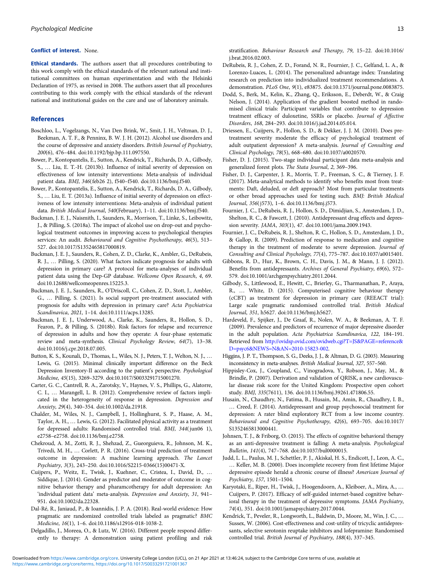#### <span id="page-12-0"></span>Conflict of interest. None.

Ethical standards. The authors assert that all procedures contributing to this work comply with the ethical standards of the relevant national and institutional committees on human experimentation and with the Helsinki Declaration of 1975, as revised in 2008. The authors assert that all procedures contributing to this work comply with the ethical standards of the relevant national and institutional guides on the care and use of laboratory animals.

## References

- Boschloo, L., Vogelzangs, N., Van Den Brink, W., Smit, J. H., Veltman, D. J., Beekman, A. T. F., & Penninx, B. W. J. H. (2012). Alcohol use disorders and the course of depressive and anxiety disorders. British Journal of Psychiatry, 200(6), 476–484. doi:10.1192/bjp.bp.111.097550.
- Bower, P., Kontopantelis, E., Sutton, A., Kendrick, T., Richards, D. A., Gilbody, S., … Liu, E. T.-H. (2013b). Influence of initial severity of depression on effectiveness of low intensity interventions: Meta-analysis of individual patient data. BMJ, 346(feb26 2), f540–f540. doi:10.1136/bmj.f540.
- Bower, P., Kontopantelis, E., Sutton, A., Kendrick, T., Richards, D. A., Gilbody, S., … Liu, E. T. (2013a). Influence of initial severity of depression on effectiveness of low intensity interventions: Meta-analysis of individual patient data. British Medical Journal, 540(February), 1–11. doi:10.1136/bmj.f540.
- Buckman, J. E. J., Naismith, I., Saunders, R., Morrison, T., Linke, S., Leibowitz, J., & Pilling, S. (2018a). The impact of alcohol use on drop-out and psychological treatment outcomes in improving access to psychological therapies services: An audit. Behavioural and Cognitive Psychotherapy, 46(5), 513-527. doi:10.1017/S1352465817000819.
- Buckman, J. E. J., Saunders, R., Cohen, Z. D., Clarke, K., Ambler, G., DeRubeis, R. J., … Pilling, S. (2020). What factors indicate prognosis for adults with depression in primary care? A protocol for meta-analyses of individual patient data using the Dep-GP database. Wellcome Open Research, 4, 69. doi:10.12688/wellcomeopenres.15225.3.
- Buckman, J. E. J., Saunders, R., O'Driscoll, C., Cohen, Z. D., Stott, J., Ambler, G., … Pilling, S. (2021). Is social support pre-treatment associated with prognosis for adults with depression in primary care? Acta Psychiatrica Scandinavica, 2021, 1–14. doi:10.1111/acps.13285.
- Buckman, J. E. J., Underwood, A., Clarke, K., Saunders, R., Hollon, S. D., Fearon, P., & Pilling, S. (2018b). Risk factors for relapse and recurrence of depression in adults and how they operate: A four-phase systematic review and meta-synthesis. Clinical Psychology Review, 64(7), 13–38. doi:10.1016/j.cpr.2018.07.005.
- Button, K. S., Kounali, D., Thomas, L., Wiles, N. J., Peters, T. J., Welton, N. J., … Lewis, G. (2015). Minimal clinically important difference on the Beck Depression Inventory-II according to the patient's perspective. Psychological Medicine, 45(15), 3269–3279. doi:10.1017/S0033291715001270.
- Carter, G. C., Cantrell, R. A., Zarotsky, V., Haynes, V. S., Phillips, G., Alatorre, C. I., … Marangell, L. B. (2012). Comprehensive review of factors implicated in the heterogeneity of response in depression. Depression and Anxiety, 29(4), 340–354. doi:10.1002/da.21918.
- Chalder, M., Wiles, N. J., Campbell, J., Hollinghurst, S. P., Haase, A. M., Taylor, A. H., … Lewis, G. (2012). Facilitated physical activity as a treatment for depressed adults: Randomised controlled trial. BMJ, 344(jun06 1), e2758–e2758. doi:10.1136/bmj.e2758.
- Chekroud, A. M., Zotti, R. J., Shehzad, Z., Gueorguieva, R., Johnson, M. K., Trivedi, M. H., … Corlett, P. R. (2016). Cross-trial prediction of treatment outcome in depression: A machine learning approach. The Lancet Psychiatry, 3(3), 243–250. doi:10.1016/S2215-0366(15)00471-X.
- Cuijpers, P., Weitz, E., Twisk, J., Kuehner, C., Cristea, I., David, D., … Siddique, J. (2014). Gender as predictor and moderator of outcome in cognitive behavior therapy and pharamcotherapy for adult depression: An 'individual patient data' meta-analysis. Depression and Anxiety, 31, 941– 951. doi:10.1002/da.22328.
- Dal-Ré, R., Janiaud, P., & Ioannidis, J. P. A. (2018). Real-world evidence: How pragmatic are randomized controlled trials labeled as pragmatic? BMC Medicine, 16(1), 1–6. doi:10.1186/s12916-018-1038-2.
- Delgadillo, J., Moreea, O., & Lutz, W. (2016). Different people respond differently to therapy: A demonstration using patient profiling and risk

stratification. Behaviour Research and Therapy, 79, 15–22. doi:10.1016/ j.brat.2016.02.003.

- DeRubeis, R. J., Cohen, Z. D., Forand, N. R., Fournier, J. C., Gelfand, L. A., & Lorenzo-Luaces, L. (2014). The personalized advantage index: Translating research on prediction into individualized treatment recommendations. A demonstration. PLoS One, 9(1), e83875. doi:10.1371/journal.pone.0083875.
- Dodd, S., Berk, M., Kelin, K., Zhang, Q., Eriksson, E., Deberdt, W., & Craig Nelson, J. (2014). Application of the gradient boosted method in randomised clinical trials: Participant variables that contribute to depression treatment efficacy of duloxetine, SSRIs or placebo. Journal of Affective Disorders, 168, 284–293. doi:10.1016/j.jad.2014.05.014.
- Driessen, E., Cuijpers, P., Hollon, S. D., & Dekker, J. J. M. (2010). Does pretreatment severity moderate the efficacy of psychological treatment of adult outpatient depression? A meta-analysis. Journal of Consulting and Clinical Psychology, 78(5), 668–680. doi:10.1037/a0020570.
- Fisher, D. J. (2015). Two-stage individual participant data meta-analysis and generalized forest plots. The Stata Journal, 2, 369–396.
- Fisher, D. J., Carpenter, J. R., Morris, T. P., Freeman, S. C., & Tierney, J. F. (2017). Meta-analytical methods to identify who benefits most from treatments: Daft, deluded, or deft approach? Most from particular treatments or other broad approaches used for testing such. BMJ: British Medical Journal, 356(j573), 1–6. doi:10.1136/bmj.j573.
- Fournier, J. C., DeRubeis, R. J., Hollon, S. D., Dimidjian, S., Amsterdam, J. D., Shelton, R. C., & Fawcett, J. (2010). Antidepressant drug effects and depression severity. JAMA, 303(1), 47. doi:10.1001/jama.2009.1943.
- Fournier, J. C., DeRubeis, R. J., Shelton, R. C., Hollon, S. D., Amsterdam, J. D., & Gallop, R. (2009). Prediction of response to medication and cognitive therapy in the treatment of moderate to severe depression. Journal of Consulting and Clinical Psychology, 77(4), 775–787. doi:10.1037/a0015401.
- Gibbons, R. D., Hur, K., Brown, C. H., Davis, J. M., & Mann, J. J. (2012). Benefits from antidepressants. Archives of General Psychiatry, 69(6), 572– 579. doi:10.1001/archgenpsychiatry.2011.2044.
- Gilbody, S., Littlewood, E., Hewitt, C., Brierley, G., Tharmanathan, P., Araya, R., … White, D. (2015). Computerised cognitive behaviour therapy (cCBT) as treatment for depression in primary care (REEACT trial): Large scale pragmatic randomised controlled trial. British Medical Journal, 351, h5627. doi:10.1136/bmj.h5627.
- Hardeveld, F., Spijker, J., De Graaf, R., Nolen, W. A., & Beekman, A. T. F. (2009). Prevalence and predictors of recurrence of major depressive disorder in the adult population. Acta Psychiatrica Scandinavica, 122, 184–191. Retrieved from [http://ovidsp.ovid.com/ovidweb.cgi?T=JS&PAGE=reference&](http://ovidsp.ovid.com/ovidweb.cgi?T=JS&PAGE=reference&D=psyc6&NEWS=N&AN=2010-15823-002) [D=psyc6&NEWS=N&AN=2010-15823-002.](http://ovidsp.ovid.com/ovidweb.cgi?T=JS&PAGE=reference&D=psyc6&NEWS=N&AN=2010-15823-002)
- Higgins, J. P. T., Thompson, S. G., Deeks, J. J., & Altman, D. G. (2003). Measuring inconsistency in meta-analyses. British Medical Journal, 327, 557–560.
- Hippisley-Cox, J., Coupland, C., Vinogradova, Y., Robson, J., May, M., & Brindle, P. (2007). Derivation and validation of QRISK, a new cardiovascular disease risk score for the United Kingdom: Prospective open cohort study. BMJ, 335(7611), 136. doi:10.1136/bmj.39261.471806.55.
- Husain, N., Chaudhry, N., Fatima, B., Husain, M., Amin, R., Chaudhry, I. B., … Creed, F. (2014). Antidepressant and group psychosocial treatment for depression: A rater blind exploratory RCT from a low income country. Behavioural and Cognitive Psychotherapy, 42(6), 693–705. doi:10.1017/ S1352465813000441.
- Johnsen, T. J., & Friborg, O. (2015). The effects of cognitive behavioral therapy as an anti-depressive treatment is falling: A meta-analysis. Psychological Bulletin, 141(4), 747–768. doi:10.1037/bul0000015.
- Judd, L. L., Paulus, M. J., Schettler, P. J., Akiskal, H. S., Endicott, J., Leon, A. C., … Keller, M. B. (2000). Does incomplete recovery from first lifetime Major depressive episode herald a chronic course of illness? American Journal of Psychiatry, 157, 1501–1504.
- Karyotaki, E., Riper, H., Twisk, J., Hoogendoorn, A., Kleiboer, A., Mira, A., … Cuijpers, P. (2017). Efficacy of self-guided internet-based cognitive behavioral therapy in the treatment of depressive symptoms. JAMA Psychiatry, 74(4), 351. doi:10.1001/jamapsychiatry.2017.0044.
- Kendrick, T., Peveler, R., Longworth, L., Baldwin, D., Moore, M., Win, J. C., … Sussex, W. (2006). Cost-effectiveness and cost-utility of tricyclic antidepressants, selective serotonin reuptake inhibitors and lofepramine: Randomised controlled trial. British Journal of Psychiatry, 188(4), 337–345.